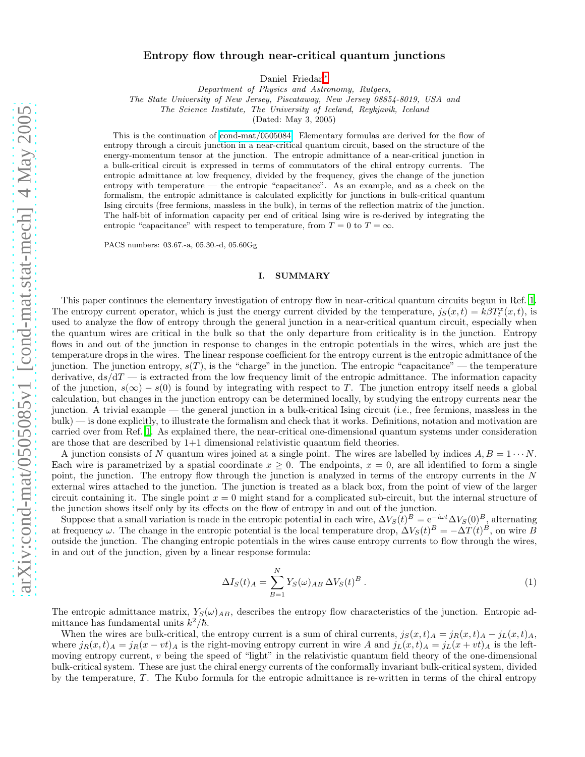# Entropy flow through near-critical quantum junctions

Daniel Friedan[∗](#page-18-0)

Department of Physics and Astronomy, Rutgers,

The State University of New Jersey, Piscataway, New Jersey 08854-8019, USA and

The Science Institute, The University of Iceland, Reykjavik, Iceland

(Dated: May 3, 2005)

This is the continuation of [cond-mat/0505084.](http://arXiv.org/abs/cond-mat/0505084) Elementary formulas are derived for the flow of entropy through a circuit junction in a near-critical quantum circuit, based on the structure of the energy-momentum tensor at the junction. The entropic admittance of a near-critical junction in a bulk-critical circuit is expressed in terms of commutators of the chiral entropy currents. The entropic admittance at low frequency, divided by the frequency, gives the change of the junction entropy with temperature — the entropic "capacitance". As an example, and as a check on the formalism, the entropic admittance is calculated explicitly for junctions in bulk-critical quantum Ising circuits (free fermions, massless in the bulk), in terms of the reflection matrix of the junction. The half-bit of information capacity per end of critical Ising wire is re-derived by integrating the entropic "capacitance" with respect to temperature, from  $T = 0$  to  $T = \infty$ .

PACS numbers: 03.67.-a, 05.30.-d, 05.60Gg

#### I. SUMMARY

This paper continues the elementary investigation of entropy flow in near-critical quantum circuits begun in Ref. [1](#page-18-1). The entropy current operator, which is just the energy current divided by the temperature,  $j_S(x,t) = k\beta T_t^x(x,t)$ , is used to analyze the flow of entropy through the general junction in a near-critical quantum circuit, especially when the quantum wires are critical in the bulk so that the only departure from criticality is in the junction. Entropy flows in and out of the junction in response to changes in the entropic potentials in the wires, which are just the temperature drops in the wires. The linear response coefficient for the entropy current is the entropic admittance of the junction. The junction entropy,  $s(T)$ , is the "charge" in the junction. The entropic "capacitance" — the temperature derivative,  $ds/dT$  — is extracted from the low frequency limit of the entropic admittance. The information capacity of the junction,  $s(\infty) - s(0)$  is found by integrating with respect to T. The junction entropy itself needs a global calculation, but changes in the junction entropy can be determined locally, by studying the entropy currents near the junction. A trivial example — the general junction in a bulk-critical Ising circuit (i.e., free fermions, massless in the bulk) — is done explicitly, to illustrate the formalism and check that it works. Definitions, notation and motivation are carried over from Ref. [1.](#page-18-1) As explained there, the near-critical one-dimensional quantum systems under consideration are those that are described by 1+1 dimensional relativistic quantum field theories.

A junction consists of N quantum wires joined at a single point. The wires are labelled by indices  $A, B = 1 \cdots N$ . Each wire is parametrized by a spatial coordinate  $x \geq 0$ . The endpoints,  $x = 0$ , are all identified to form a single point, the junction. The entropy flow through the junction is analyzed in terms of the entropy currents in the N external wires attached to the junction. The junction is treated as a black box, from the point of view of the larger circuit containing it. The single point  $x = 0$  might stand for a complicated sub-circuit, but the internal structure of the junction shows itself only by its effects on the flow of entropy in and out of the junction.

Suppose that a small variation is made in the entropic potential in each wire,  $\Delta V_S(t)^B = e^{-i\omega t} \Delta V_S(0)^B$ , alternating at frequency  $\omega$ . The change in the entropic potential is the local temperature drop,  $\Delta V_S(t)^B = -\Delta T(t)^B$ , on wire B outside the junction. The changing entropic potentials in the wires cause entropy currents to flow through the wires, in and out of the junction, given by a linear response formula:

$$
\Delta I_S(t)_A = \sum_{B=1}^N Y_S(\omega)_{AB} \,\Delta V_S(t)^B \,. \tag{1}
$$

The entropic admittance matrix,  $Y_S(\omega)_{AB}$ , describes the entropy flow characteristics of the junction. Entropic admittance has fundamental units  $k^2/\hbar$ .

When the wires are bulk-critical, the entropy current is a sum of chiral currents,  $j_S(x,t)_A = j_R(x,t)_A - j_L(x,t)_A$ , where  $j_R(x, t)_A = j_R(x - vt)_A$  is the right-moving entropy current in wire A and  $j_L(x, t)_A = j_L(x + vt)_A$  is the leftmoving entropy current, v being the speed of "light" in the relativistic quantum field theory of the one-dimensional bulk-critical system. These are just the chiral energy currents of the conformally invariant bulk-critical system, divided by the temperature,  $T$ . The Kubo formula for the entropic admittance is re-written in terms of the chiral entropy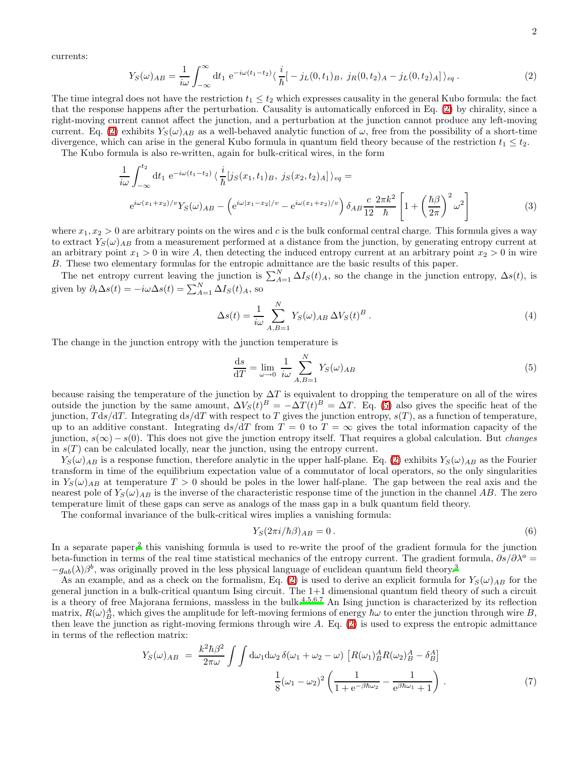<span id="page-1-0"></span>currents:

$$
Y_S(\omega)_{AB} = \frac{1}{i\omega} \int_{-\infty}^{\infty} dt_1 e^{-i\omega(t_1 - t_2)} \langle \frac{i}{\hbar} [-j_L(0, t_1)_B, j_R(0, t_2)_A - j_L(0, t_2)_A] \rangle_{eq}.
$$
 (2)

The time integral does not have the restriction  $t_1 \leq t_2$  which expresses causality in the general Kubo formula: the fact that the response happens after the perturbation. Causality is automatically enforced in Eq. [\(2\)](#page-1-0) by chirality, since a right-moving current cannot affect the junction, and a perturbation at the junction cannot produce any left-moving current. Eq. [\(2\)](#page-1-0) exhibits  $Y_S(\omega)_{AB}$  as a well-behaved analytic function of  $\omega$ , free from the possibility of a short-time divergence, which can arise in the general Kubo formula in quantum field theory because of the restriction  $t_1 \leq t_2$ .

The Kubo formula is also re-written, again for bulk-critical wires, in the form

$$
\frac{1}{i\omega} \int_{-\infty}^{t_2} dt_1 e^{-i\omega(t_1 - t_2)} \langle \frac{i}{\hbar} [j_S(x_1, t_1)_B, j_S(x_2, t_2)_A] \rangle_{eq} =
$$
\n
$$
e^{i\omega(x_1 + x_2)/v} Y_S(\omega)_{AB} - \left( e^{i\omega|x_1 - x_2|/v} - e^{i\omega(x_1 + x_2)/v} \right) \delta_{AB} \frac{c}{12} \frac{2\pi k^2}{\hbar} \left[ 1 + \left( \frac{\hbar \beta}{2\pi} \right)^2 \omega^2 \right]
$$
\n(3)

where  $x_1, x_2 > 0$  are arbitrary points on the wires and c is the bulk conformal central charge. This formula gives a way to extract  $Y_S(\omega)_{AB}$  from a measurement performed at a distance from the junction, by generating entropy current at an arbitrary point  $x_1 > 0$  in wire A, then detecting the induced entropy current at an arbitrary point  $x_2 > 0$  in wire B. These two elementary formulas for the entropic admittance are the basic results of this paper.

The net entropy current leaving the junction is  $\sum_{A=1}^{N} \Delta I_{S}(t)_{A}$ , so the change in the junction entropy,  $\Delta s(t)$ , is given by  $\partial_t \Delta s(t) = -i\omega \Delta s(t) = \sum_{A=1}^N \Delta I_S(t)_A$ , so

$$
\Delta s(t) = \frac{1}{i\omega} \sum_{A,B=1}^{N} Y_S(\omega)_{AB} \Delta V_S(t)^B.
$$
\n(4)

The change in the junction entropy with the junction temperature is

<span id="page-1-1"></span>
$$
\frac{\mathrm{d}s}{\mathrm{d}T} = \lim_{\omega \to 0} \frac{1}{i\omega} \sum_{A,B=1}^{N} Y_S(\omega)_{AB} \tag{5}
$$

because raising the temperature of the junction by  $\Delta T$  is equivalent to dropping the temperature on all of the wires outside the junction by the same amount,  $\Delta V_S(t)^B = -\Delta T(t)^B = \Delta T$ . Eq. [\(5\)](#page-1-1) also gives the specific heat of the junction,  $T ds/dT$ . Integrating  $ds/dT$  with respect to T gives the junction entropy,  $s(T)$ , as a function of temperature, up to an additive constant. Integrating  $ds/dT$  from  $T = 0$  to  $T = \infty$  gives the total information capacity of the junction,  $s(\infty) - s(0)$ . This does not give the junction entropy itself. That requires a global calculation. But *changes* in  $s(T)$  can be calculated locally, near the junction, using the entropy current.

 $Y_S(\omega)_{AB}$  is a response function, therefore analytic in the upper half-plane. Eq. [\(2\)](#page-1-0) exhibits  $Y_S(\omega)_{AB}$  as the Fourier transform in time of the equilibrium expectation value of a commutator of local operators, so the only singularities in  $Y_S(\omega)_{AB}$  at temperature  $T > 0$  should be poles in the lower half-plane. The gap between the real axis and the nearest pole of  $Y_S(\omega)_{AB}$  is the inverse of the characteristic response time of the junction in the channel AB. The zero temperature limit of these gaps can serve as analogs of the mass gap in a bulk quantum field theory.

The conformal invariance of the bulk-critical wires implies a vanishing formula:

$$
Y_S(2\pi i/\hbar \beta)_{AB} = 0.
$$
\n<sup>(6)</sup>

In a separate paper,<sup>[2](#page-18-2)</sup> this vanishing formula is used to re-write the proof of the gradient formula for the junction beta-function in terms of the real time statistical mechanics of the entropy current. The gradient formula,  $\partial s/\partial \lambda^a =$  $-g_{ab}(\lambda)\beta^b$ , was originally proved in the less physical language of euclidean quantum field theory.<sup>[3](#page-18-3)</sup>

As an example, and as a check on the formalism, Eq. [\(2\)](#page-1-0) is used to derive an explicit formula for  $Y_S(\omega)_{AB}$  for the general junction in a bulk-critical quantum Ising circuit. The 1+1 dimensional quantum field theory of such a circuit is a theory of free Majorana fermions, massless in the bulk.<sup>[4](#page-18-4)[,5](#page-18-5)[,6](#page-18-6)[,7](#page-18-7)</sup> An Ising junction is characterized by its reflection matrix,  $R(\omega)_B^A$ , which gives the amplitude for left-moving fermions of energy  $\hbar\omega$  to enter the junction through wire B, then leave the junction as right-moving fermions through wire A. Eq. [\(2\)](#page-1-0) is used to express the entropic admittance in terms of the reflection matrix:

$$
Y_S(\omega)_{AB} = \frac{k^2 \hbar \beta^2}{2\pi \omega} \int \int d\omega_1 d\omega_2 \, \delta(\omega_1 + \omega_2 - \omega) \left[ R(\omega_1)_B^A R(\omega_2)_B^A - \delta_B^A \right]
$$

$$
\frac{1}{8} (\omega_1 - \omega_2)^2 \left( \frac{1}{1 + e^{-\beta \hbar \omega_2}} - \frac{1}{e^{\beta \hbar \omega_1} + 1} \right) \,. \tag{7}
$$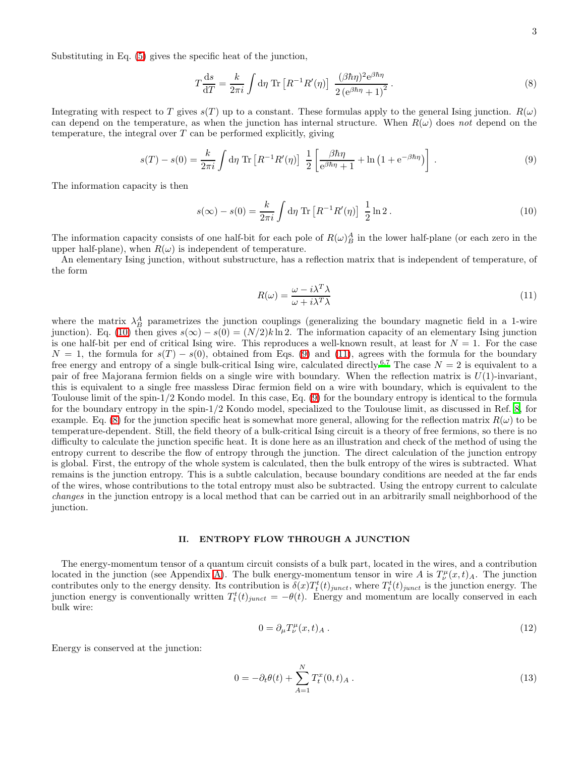Substituting in Eq. [\(5\)](#page-1-1) gives the specific heat of the junction,

<span id="page-2-3"></span>
$$
T\frac{\mathrm{d}s}{\mathrm{d}T} = \frac{k}{2\pi i} \int \mathrm{d}\eta \, \mathrm{Tr} \left[ R^{-1} R'(\eta) \right] \, \frac{(\beta \hbar \eta)^2 \mathrm{e}^{\beta \hbar \eta}}{2 \left( \mathrm{e}^{\beta \hbar \eta} + 1 \right)^2} \,. \tag{8}
$$

Integrating with respect to T gives  $s(T)$  up to a constant. These formulas apply to the general Ising junction.  $R(\omega)$ can depend on the temperature, as when the junction has internal structure. When  $R(\omega)$  does not depend on the temperature, the integral over  $T$  can be performed explicitly, giving

<span id="page-2-0"></span>
$$
s(T) - s(0) = \frac{k}{2\pi i} \int d\eta \operatorname{Tr} \left[ R^{-1} R'(\eta) \right] \frac{1}{2} \left[ \frac{\beta \hbar \eta}{e^{\beta \hbar \eta} + 1} + \ln \left( 1 + e^{-\beta \hbar \eta} \right) \right] . \tag{9}
$$

<span id="page-2-1"></span>The information capacity is then

$$
s(\infty) - s(0) = \frac{k}{2\pi i} \int d\eta \operatorname{Tr} \left[ R^{-1} R'(\eta) \right] \frac{1}{2} \ln 2 \,. \tag{10}
$$

The information capacity consists of one half-bit for each pole of  $R(\omega)_{B}^{A}$  in the lower half-plane (or each zero in the upper half-plane), when  $R(\omega)$  is independent of temperature.

An elementary Ising junction, without substructure, has a reflection matrix that is independent of temperature, of the form

<span id="page-2-2"></span>
$$
R(\omega) = \frac{\omega - i\lambda^T \lambda}{\omega + i\lambda^T \lambda}
$$
\n(11)

where the matrix  $\lambda_B^A$  parametrizes the junction couplings (generalizing the boundary magnetic field in a 1-wire junction). Eq. [\(10\)](#page-2-0) then gives  $s(\infty) - s(0) = (N/2)k \ln 2$ . The information capacity of an elementary Ising junction is one half-bit per end of critical Ising wire. This reproduces a well-known result, at least for  $N = 1$ . For the case  $N = 1$ , the formula for  $s(T) - s(0)$ , obtained from Eqs. [\(9\)](#page-2-1) and [\(11\)](#page-2-2), agrees with the formula for the boundary free energy and entropy of a single bulk-critical Ising wire, calculated directly.<sup>[6](#page-18-6)[,7](#page-18-7)</sup> The case  $N = 2$  is equivalent to a pair of free Majorana fermion fields on a single wire with boundary. When the reflection matrix is  $U(1)$ -invariant, this is equivalent to a single free massless Dirac fermion field on a wire with boundary, which is equivalent to the Toulouse limit of the spin-1/2 Kondo model. In this case, Eq. [\(9\)](#page-2-1) for the boundary entropy is identical to the formula for the boundary entropy in the spin-1/2 Kondo model, specialized to the Toulouse limit, as discussed in Ref. [8,](#page-18-8) for example. Eq. [\(8\)](#page-2-3) for the junction specific heat is somewhat more general, allowing for the reflection matrix  $R(\omega)$  to be temperature-dependent. Still, the field theory of a bulk-critical Ising circuit is a theory of free fermions, so there is no difficulty to calculate the junction specific heat. It is done here as an illustration and check of the method of using the entropy current to describe the flow of entropy through the junction. The direct calculation of the junction entropy is global. First, the entropy of the whole system is calculated, then the bulk entropy of the wires is subtracted. What remains is the junction entropy. This is a subtle calculation, because boundary conditions are needed at the far ends of the wires, whose contributions to the total entropy must also be subtracted. Using the entropy current to calculate changes in the junction entropy is a local method that can be carried out in an arbitrarily small neighborhood of the junction.

#### II. ENTROPY FLOW THROUGH A JUNCTION

The energy-momentum tensor of a quantum circuit consists of a bulk part, located in the wires, and a contribution located in the junction (see Appendix [A\)](#page-14-0). The bulk energy-momentum tensor in wire A is  $T^{\mu}_{\nu}(x,t)_{A}$ . The junction contributes only to the energy density. Its contribution is  $\delta(x) T_t^t(t)_{junct}$ , where  $T_t^t(t)_{junct}$  is the junction energy. The junction energy is conventionally written  $T_t^t(t)_{junct} = -\theta(t)$ . Energy and momentum are locally conserved in each bulk wire:

$$
0 = \partial_{\mu} T_{\nu}^{\mu}(x, t)_{A} . \tag{12}
$$

Energy is conserved at the junction:

<span id="page-2-4"></span>
$$
0 = -\partial_t \theta(t) + \sum_{A=1}^{N} T_t^x(0, t)_A.
$$
\n(13)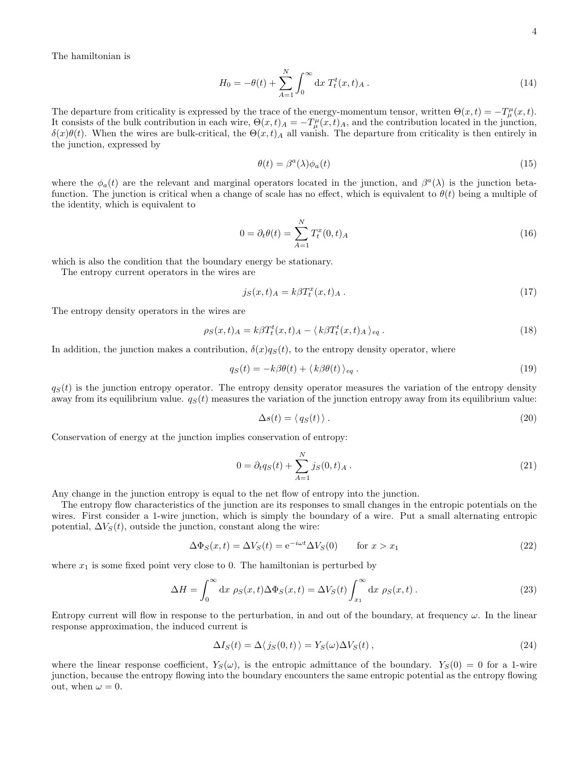$$
H_0 = -\theta(t) + \sum_{A=1}^{N} \int_0^{\infty} dx \ T_t^t(x, t)_A . \tag{14}
$$

The departure from criticality is expressed by the trace of the energy-momentum tensor, written  $\Theta(x,t) = -T^{\mu}_{\mu}(x,t)$ . It consists of the bulk contribution in each wire,  $\Theta(x,t)_A = -T_\mu^\mu(x,t)_A$ , and the contribution located in the junction,  $\delta(x)\theta(t)$ . When the wires are bulk-critical, the  $\Theta(x,t)$  all vanish. The departure from criticality is then entirely in the junction, expressed by

$$
\theta(t) = \beta^a(\lambda)\phi_a(t) \tag{15}
$$

where the  $\phi_a(t)$  are the relevant and marginal operators located in the junction, and  $\beta^a(\lambda)$  is the junction betafunction. The junction is critical when a change of scale has no effect, which is equivalent to  $\theta(t)$  being a multiple of the identity, which is equivalent to

$$
0 = \partial_t \theta(t) = \sum_{A=1}^{N} T_t^x(0, t)_A
$$
\n(16)

which is also the condition that the boundary energy be stationary.

The entropy current operators in the wires are

$$
j_S(x,t)_A = k\beta T_t^x(x,t)_A.
$$
\n
$$
(17)
$$

The entropy density operators in the wires are

$$
\rho_S(x,t)_A = k\beta T_t^t(x,t)_A - \langle k\beta T_t^t(x,t)_A \rangle_{eq} \,. \tag{18}
$$

In addition, the junction makes a contribution,  $\delta(x)q_S(t)$ , to the entropy density operator, where

$$
q_S(t) = -k\beta\theta(t) + \langle k\beta\theta(t) \rangle_{eq}.
$$
\n(19)

 $q<sub>S</sub>(t)$  is the junction entropy operator. The entropy density operator measures the variation of the entropy density away from its equilibrium value.  $q<sub>S</sub>(t)$  measures the variation of the junction entropy away from its equilibrium value:

$$
\Delta s(t) = \langle q_S(t) \rangle. \tag{20}
$$

Conservation of energy at the junction implies conservation of entropy:

$$
0 = \partial_t q_S(t) + \sum_{A=1}^N j_S(0, t)_A.
$$
 (21)

Any change in the junction entropy is equal to the net flow of entropy into the junction.

The entropy flow characteristics of the junction are its responses to small changes in the entropic potentials on the wires. First consider a 1-wire junction, which is simply the boundary of a wire. Put a small alternating entropic potential,  $\Delta V_S(t)$ , outside the junction, constant along the wire:

$$
\Delta \Phi_S(x,t) = \Delta V_S(t) = e^{-i\omega t} \Delta V_S(0) \qquad \text{for } x > x_1 \tag{22}
$$

where  $x_1$  is some fixed point very close to 0. The hamiltonian is perturbed by

$$
\Delta H = \int_0^\infty dx \, \rho_S(x, t) \Delta \Phi_S(x, t) = \Delta V_S(t) \int_{x_1}^\infty dx \, \rho_S(x, t) \,. \tag{23}
$$

Entropy current will flow in response to the perturbation, in and out of the boundary, at frequency  $\omega$ . In the linear response approximation, the induced current is

$$
\Delta I_S(t) = \Delta \langle j_S(0, t) \rangle = Y_S(\omega) \Delta V_S(t) , \qquad (24)
$$

where the linear response coefficient,  $Y_S(\omega)$ , is the entropic admittance of the boundary.  $Y_S(0) = 0$  for a 1-wire junction, because the entropy flowing into the boundary encounters the same entropic potential as the entropy flowing out, when  $\omega = 0$ .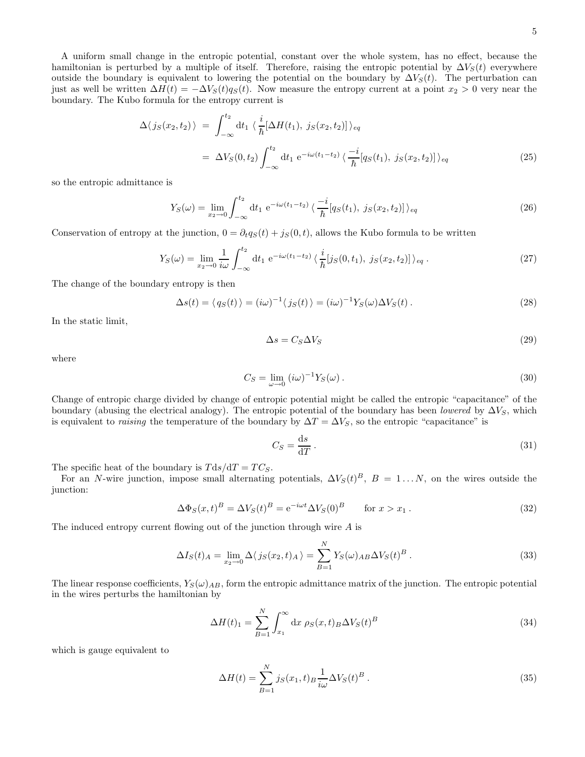5

A uniform small change in the entropic potential, constant over the whole system, has no effect, because the hamiltonian is perturbed by a multiple of itself. Therefore, raising the entropic potential by  $\Delta V_S(t)$  everywhere outside the boundary is equivalent to lowering the potential on the boundary by  $\Delta V_S(t)$ . The perturbation can just as well be written  $\Delta H(t) = -\Delta V_S(t)q_S(t)$ . Now measure the entropy current at a point  $x_2 > 0$  very near the boundary. The Kubo formula for the entropy current is

$$
\Delta\langle j_S(x_2, t_2) \rangle = \int_{-\infty}^{t_2} dt_1 \langle \frac{i}{\hbar} [\Delta H(t_1), j_S(x_2, t_2)] \rangle_{eq}
$$
  
=  $\Delta V_S(0, t_2) \int_{-\infty}^{t_2} dt_1 e^{-i\omega(t_1 - t_2)} \langle \frac{-i}{\hbar} [q_S(t_1), j_S(x_2, t_2)] \rangle_{eq}$  (25)

so the entropic admittance is

$$
Y_S(\omega) = \lim_{x_2 \to 0} \int_{-\infty}^{t_2} dt_1 e^{-i\omega(t_1 - t_2)} \left\langle \frac{-i}{\hbar} [q_S(t_1), j_S(x_2, t_2)] \right\rangle_{eq} \tag{26}
$$

Conservation of entropy at the junction,  $0 = \partial_t q_S(t) + j_S(0, t)$ , allows the Kubo formula to be written

$$
Y_S(\omega) = \lim_{x_2 \to 0} \frac{1}{i\omega} \int_{-\infty}^{t_2} dt_1 \ e^{-i\omega(t_1 - t_2)} \langle \frac{i}{\hbar} [j_S(0, t_1), j_S(x_2, t_2)] \rangle_{eq} . \tag{27}
$$

The change of the boundary entropy is then

$$
\Delta s(t) = \langle q_S(t) \rangle = (i\omega)^{-1} \langle j_S(t) \rangle = (i\omega)^{-1} Y_S(\omega) \Delta V_S(t).
$$
\n(28)

In the static limit,

$$
\Delta s = C_S \Delta V_S \tag{29}
$$

where

$$
C_S = \lim_{\omega \to 0} \left( i\omega \right)^{-1} Y_S(\omega) \,. \tag{30}
$$

Change of entropic charge divided by change of entropic potential might be called the entropic "capacitance" of the boundary (abusing the electrical analogy). The entropic potential of the boundary has been *lowered* by  $\Delta V_S$ , which is equivalent to raising the temperature of the boundary by  $\Delta T = \Delta V_S$ , so the entropic "capacitance" is

$$
C_S = \frac{\mathrm{d}s}{\mathrm{d}T} \,. \tag{31}
$$

The specific heat of the boundary is  $T ds/dT = TC_S$ .

For an N-wire junction, impose small alternating potentials,  $\Delta V_S(t)^B$ ,  $B = 1...N$ , on the wires outside the junction:

$$
\Delta \Phi_S(x,t)^B = \Delta V_S(t)^B = e^{-i\omega t} \Delta V_S(0)^B \qquad \text{for } x > x_1.
$$
\n(32)

The induced entropy current flowing out of the junction through wire  $A$  is

$$
\Delta I_S(t)_A = \lim_{x_2 \to 0} \Delta \langle j_S(x_2, t)_A \rangle = \sum_{B=1}^N Y_S(\omega)_{AB} \Delta V_S(t)^B.
$$
\n(33)

The linear response coefficients,  $Y_S(\omega)_{AB}$ , form the entropic admittance matrix of the junction. The entropic potential in the wires perturbs the hamiltonian by

$$
\Delta H(t)_1 = \sum_{B=1}^{N} \int_{x_1}^{\infty} dx \, \rho_S(x, t)_B \Delta V_S(t)^B \tag{34}
$$

which is gauge equivalent to

$$
\Delta H(t) = \sum_{B=1}^{N} j_S(x_1, t) \frac{1}{i\omega} \Delta V_S(t)^B.
$$
\n(35)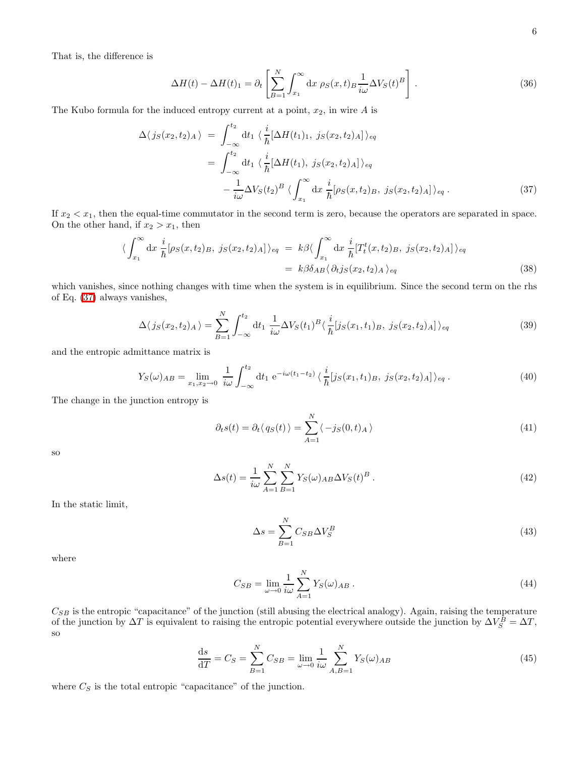That is, the difference is

$$
\Delta H(t) - \Delta H(t)_1 = \partial_t \left[ \sum_{B=1}^N \int_{x_1}^\infty dx \, \rho_S(x, t)_B \frac{1}{i\omega} \Delta V_S(t)^B \right] \,. \tag{36}
$$

<span id="page-5-0"></span>The Kubo formula for the induced entropy current at a point,  $x_2$ , in wire A is

$$
\Delta\langle j_S(x_2, t_2)_{A}\rangle = \int_{-\infty}^{t_2} dt_1 \langle \frac{i}{\hbar} [\Delta H(t_1)_1, j_S(x_2, t_2)_{A}] \rangle_{eq}
$$
  

$$
= \int_{-\infty}^{t_2} dt_1 \langle \frac{i}{\hbar} [\Delta H(t_1), j_S(x_2, t_2)_{A}] \rangle_{eq}
$$
  

$$
- \frac{1}{i\omega} \Delta V_S(t_2)^B \langle \int_{x_1}^{\infty} dx \frac{i}{\hbar} [\rho_S(x, t_2)_B, j_S(x_2, t_2)_A] \rangle_{eq} .
$$
 (37)

If  $x_2 < x_1$ , then the equal-time commutator in the second term is zero, because the operators are separated in space. On the other hand, if  $x_2 > x_1$ , then

$$
\langle \int_{x_1}^{\infty} dx \frac{i}{\hbar} [\rho_S(x, t_2)_B, j_S(x_2, t_2)_A] \rangle_{eq} = k\beta \langle \int_{x_1}^{\infty} dx \frac{i}{\hbar} [T_t^t(x, t_2)_B, j_S(x_2, t_2)_A] \rangle_{eq}
$$
  
=  $k\beta \delta_{AB} \langle \partial_t j_S(x_2, t_2)_A \rangle_{eq}$  (38)

which vanishes, since nothing changes with time when the system is in equilibrium. Since the second term on the rhs of Eq. [\(37\)](#page-5-0) always vanishes,

$$
\Delta \langle j_S(x_2, t_2)_A \rangle = \sum_{B=1}^N \int_{-\infty}^{t_2} dt_1 \frac{1}{i\omega} \Delta V_S(t_1)^B \langle \frac{i}{\hbar} [j_S(x_1, t_1)_B, j_S(x_2, t_2)_A] \rangle_{eq} \tag{39}
$$

<span id="page-5-1"></span>and the entropic admittance matrix is

$$
Y_S(\omega)_{AB} = \lim_{x_1, x_2 \to 0} \frac{1}{i\omega} \int_{-\infty}^{t_2} dt_1 e^{-i\omega(t_1 - t_2)} \langle \frac{i}{\hbar} [j_S(x_1, t_1)_B, j_S(x_2, t_2)_A] \rangle_{eq} . \tag{40}
$$

The change in the junction entropy is

$$
\partial_t s(t) = \partial_t \langle q_S(t) \rangle = \sum_{A=1}^N \langle -j_S(0, t)_A \rangle \tag{41}
$$

so

$$
\Delta s(t) = \frac{1}{i\omega} \sum_{A=1}^{N} \sum_{B=1}^{N} Y_S(\omega)_{AB} \Delta V_S(t)^B.
$$
\n(42)

In the static limit,

$$
\Delta s = \sum_{B=1}^{N} C_{SB} \Delta V_S^B \tag{43}
$$

where

$$
C_{SB} = \lim_{\omega \to 0} \frac{1}{i\omega} \sum_{A=1}^{N} Y_S(\omega)_{AB} . \tag{44}
$$

 $C_{SB}$  is the entropic "capacitance" of the junction (still abusing the electrical analogy). Again, raising the temperature of the junction by  $\Delta T$  is equivalent to raising the entropic potential everywhere outside the junction by  $\Delta V_S^B = \Delta T$ , so

$$
\frac{ds}{dT} = C_S = \sum_{B=1}^{N} C_{SB} = \lim_{\omega \to 0} \frac{1}{i\omega} \sum_{A,B=1}^{N} Y_S(\omega)_{AB}
$$
(45)

where  $C_S$  is the total entropic "capacitance" of the junction.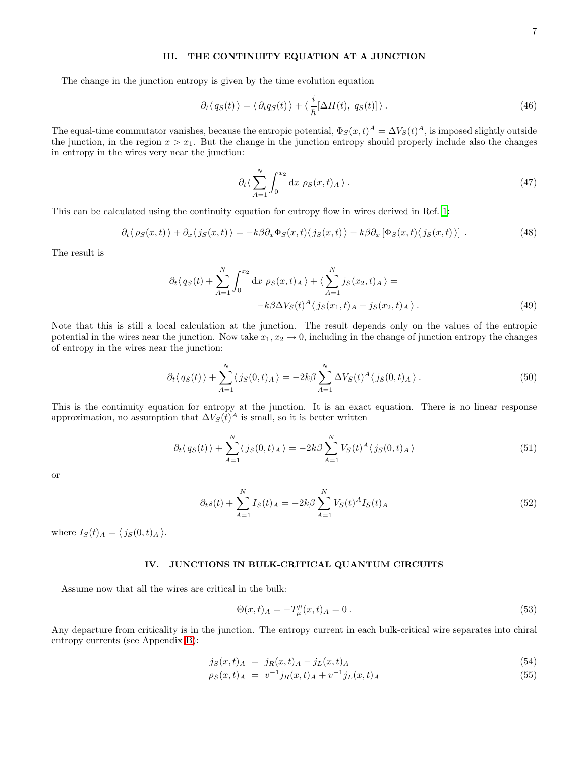# III. THE CONTINUITY EQUATION AT A JUNCTION

The change in the junction entropy is given by the time evolution equation

$$
\partial_t \langle q_S(t) \rangle = \langle \partial_t q_S(t) \rangle + \langle \frac{i}{\hbar} [\Delta H(t), q_S(t)] \rangle. \tag{46}
$$

The equal-time commutator vanishes, because the entropic potential,  $\Phi_S(x,t)^A = \Delta V_S(t)^A$ , is imposed slightly outside the junction, in the region  $x > x_1$ . But the change in the junction entropy should properly include also the changes in entropy in the wires very near the junction:

$$
\partial_t \langle \sum_{A=1}^N \int_0^{x_2} \mathrm{d}x \, \rho_S(x,t)_A \rangle \,. \tag{47}
$$

This can be calculated using the continuity equation for entropy flow in wires derived in Ref. [1](#page-18-1):

$$
\partial_t \langle \rho_S(x,t) \rangle + \partial_x \langle j_S(x,t) \rangle = -k \beta \partial_x \Phi_S(x,t) \langle j_S(x,t) \rangle - k \beta \partial_x [\Phi_S(x,t) \langle j_S(x,t) \rangle]. \tag{48}
$$

The result is

$$
\partial_t \langle q_S(t) + \sum_{A=1}^N \int_0^{x_2} dx \, \rho_S(x, t)_A \rangle + \langle \sum_{A=1}^N j_S(x_2, t)_A \rangle = -k\beta \Delta V_S(t)^A \langle j_S(x_1, t)_A + j_S(x_2, t)_A \rangle. \tag{49}
$$

Note that this is still a local calculation at the junction. The result depends only on the values of the entropic potential in the wires near the junction. Now take  $x_1, x_2 \to 0$ , including in the change of junction entropy the changes of entropy in the wires near the junction:

$$
\partial_t \langle q_S(t) \rangle + \sum_{A=1}^N \langle j_S(0, t)_A \rangle = -2k\beta \sum_{A=1}^N \Delta V_S(t)^A \langle j_S(0, t)_A \rangle.
$$
 (50)

This is the continuity equation for entropy at the junction. It is an exact equation. There is no linear response approximation, no assumption that  $\Delta V_S(t)^A$  is small, so it is better written

$$
\partial_t \langle q_S(t) \rangle + \sum_{A=1}^N \langle j_S(0, t)_A \rangle = -2k\beta \sum_{A=1}^N V_S(t)^A \langle j_S(0, t)_A \rangle \tag{51}
$$

or

$$
\partial_t s(t) + \sum_{A=1}^N I_S(t)A = -2k\beta \sum_{A=1}^N V_S(t)^A I_S(t)A
$$
\n(52)

where  $I_S(t)_A = \langle j_S(0, t)_A \rangle$ .

### IV. JUNCTIONS IN BULK-CRITICAL QUANTUM CIRCUITS

Assume now that all the wires are critical in the bulk:

$$
\Theta(x,t)_A = -T^{\mu}_{\mu}(x,t)_A = 0.
$$
\n(53)

Any departure from criticality is in the junction. The entropy current in each bulk-critical wire separates into chiral entropy currents (see Appendix [B\)](#page-15-0):

$$
j_S(x,t)_A = j_R(x,t)_A - j_L(x,t)_A \tag{54}
$$

$$
\rho_S(x,t)_A = v^{-1} j_R(x,t)_A + v^{-1} j_L(x,t)_A \tag{55}
$$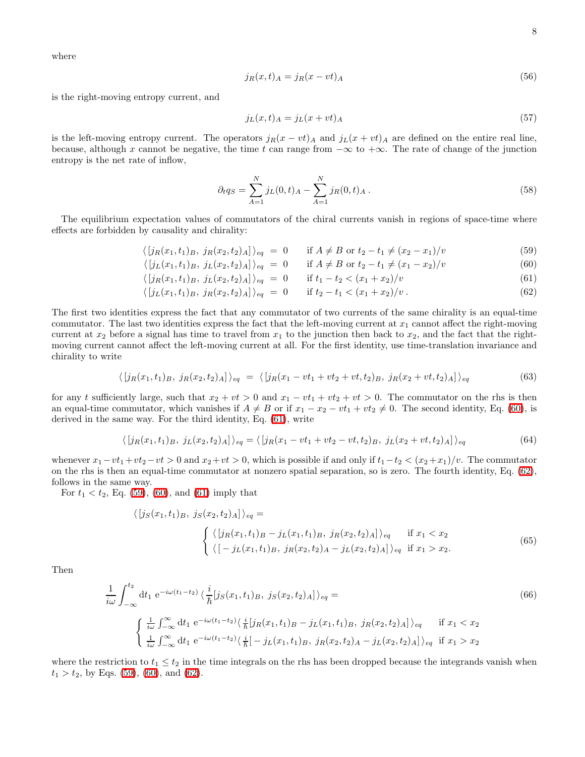where

$$
j_R(x,t)_A = j_R(x - vt)_A \tag{56}
$$

is the right-moving entropy current, and

$$
j_L(x,t)_A = j_L(x+vt)_A \tag{57}
$$

is the left-moving entropy current. The operators  $j_R(x - vt)$  and  $j_L(x + vt)$  are defined on the entire real line, because, although x cannot be negative, the time t can range from  $-\infty$  to  $+\infty$ . The rate of change of the junction entropy is the net rate of inflow,

<span id="page-7-2"></span>
$$
\partial_t q_S = \sum_{A=1}^N j_L(0, t)_A - \sum_{A=1}^N j_R(0, t)_A.
$$
\n(58)

<span id="page-7-0"></span>The equilibrium expectation values of commutators of the chiral currents vanish in regions of space-time where effects are forbidden by causality and chirality:

$$
\langle [j_R(x_1, t_1)_B, j_R(x_2, t_2)_A] \rangle_{eq} = 0 \quad \text{if } A \neq B \text{ or } t_2 - t_1 \neq (x_2 - x_1)/v \tag{59}
$$

$$
\langle [j_L(x_1, t_1)_B, j_L(x_2, t_2)_A] \rangle_{eq} = 0 \quad \text{if } A \neq B \text{ or } t_2 - t_1 \neq (x_1 - x_2)/v \tag{60}
$$

$$
\langle [j_R(x_1, t_1)_B, j_L(x_2, t_2)_A] \rangle_{eq} = 0 \quad \text{if } t_1 - t_2 < (x_1 + x_2)/v \tag{61}
$$

$$
\langle [j_L(x_1, t_1)_B, j_R(x_2, t_2)_A] \rangle_{eq} = 0 \quad \text{if } t_2 - t_1 < (x_1 + x_2)/v \,. \tag{62}
$$

The first two identities express the fact that any commutator of two currents of the same chirality is an equal-time commutator. The last two identities express the fact that the left-moving current at  $x_1$  cannot affect the right-moving current at  $x_2$  before a signal has time to travel from  $x_1$  to the junction then back to  $x_2$ , and the fact that the rightmoving current cannot affect the left-moving current at all. For the first identity, use time-translation invariance and chirality to write

$$
\langle [j_R(x_1, t_1)_B, j_R(x_2, t_2)_A] \rangle_{eq} = \langle [j_R(x_1 - vt_1 + vt_2 + vt, t_2)_B, j_R(x_2 + vt, t_2)_A] \rangle_{eq} \tag{63}
$$

for any t sufficiently large, such that  $x_2 + vt > 0$  and  $x_1 - vt_1 + vt_2 + vt > 0$ . The commutator on the rhs is then an equal-time commutator, which vanishes if  $A \neq B$  or if  $x_1 - x_2 - vt_1 + vt_2 \neq 0$ . The second identity, Eq. [\(60\)](#page-7-0), is derived in the same way. For the third identity, Eq. [\(61\)](#page-7-0), write

$$
\langle [j_R(x_1, t_1)_B, j_L(x_2, t_2)_A] \rangle_{eq} = \langle [j_R(x_1 - vt_1 + vt_2 - vt, t_2)_B, j_L(x_2 + vt, t_2)_A] \rangle_{eq} \tag{64}
$$

whenever  $x_1 - vt_1 + vt_2 - vt > 0$  and  $x_2 + vt > 0$ , which is possible if and only if  $t_1-t_2 < (x_2+x_1)/v$ . The commutator on the rhs is then an equal-time commutator at nonzero spatial separation, so is zero. The fourth identity, Eq. [\(62\)](#page-7-0), follows in the same way.

For  $t_1 < t_2$ , Eq. [\(59\)](#page-7-0), [\(60\)](#page-7-0), and [\(61\)](#page-7-0) imply that

$$
\langle [j_S(x_1, t_1)_B, j_S(x_2, t_2)_A] \rangle_{eq} =
$$
\n
$$
\begin{cases}\n\langle [j_R(x_1, t_1)_B - j_L(x_1, t_1)_B, j_R(x_2, t_2)_A] \rangle_{eq} & \text{if } x_1 < x_2 \\
\langle [-j_L(x_1, t_1)_B, j_R(x_2, t_2)_A - j_L(x_2, t_2)_A] \rangle_{eq} & \text{if } x_1 > x_2.\n\end{cases}
$$
\n(65)

<span id="page-7-1"></span>Then

$$
\frac{1}{i\omega} \int_{-\infty}^{t_2} dt_1 e^{-i\omega(t_1 - t_2)} \langle \frac{i}{\hbar} [j_S(x_1, t_1)_B, j_S(x_2, t_2)_A] \rangle_{eq} =
$$
\n
$$
\begin{cases}\n\frac{1}{i\omega} \int_{-\infty}^{\infty} dt_1 e^{-i\omega(t_1 - t_2)} \langle \frac{i}{\hbar} [j_R(x_1, t_1)_B - j_L(x_1, t_1)_B, j_R(x_2, t_2)_A] \rangle_{eq} & \text{if } x_1 < x_2 \\
\frac{1}{i\omega} \int_{-\infty}^{\infty} dt_1 e^{-i\omega(t_1 - t_2)} \langle \frac{i}{\hbar} [-j_L(x_1, t_1)_B, j_R(x_2, t_2)_A - j_L(x_2, t_2)_A] \rangle_{eq} & \text{if } x_1 > x_2\n\end{cases}
$$
\n(66)

where the restriction to  $t_1 \leq t_2$  in the time integrals on the rhs has been dropped because the integrands vanish when  $t_1 > t_2$ , by Eqs. [\(59\)](#page-7-0), [\(60\)](#page-7-0), and [\(62\)](#page-7-0).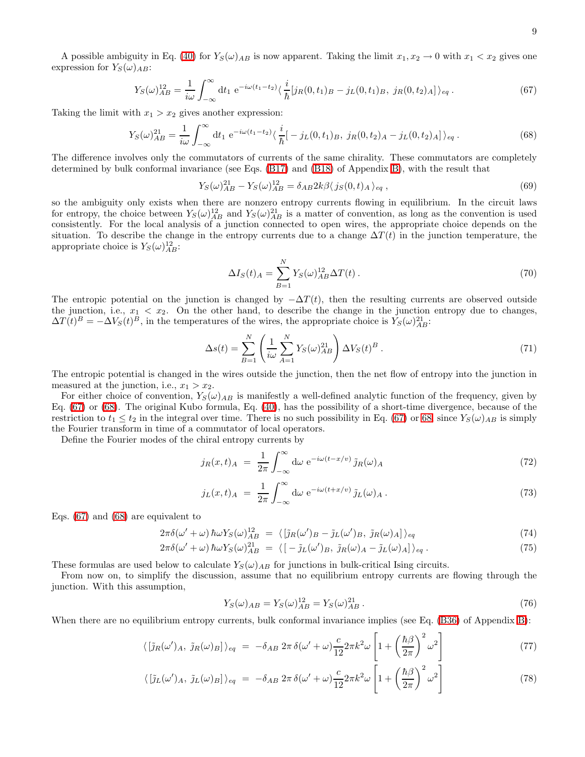<span id="page-8-0"></span>A possible ambiguity in Eq. [\(40\)](#page-5-1) for  $Y_S(\omega)_{AB}$  is now apparent. Taking the limit  $x_1, x_2 \to 0$  with  $x_1 < x_2$  gives one expression for  $Y_S(\omega)_{AB}$ :

$$
Y_S(\omega)_{AB}^{12} = \frac{1}{i\omega} \int_{-\infty}^{\infty} dt_1 e^{-i\omega(t_1 - t_2)} \langle \frac{i}{\hbar} [j_R(0, t_1)_B - j_L(0, t_1)_B, j_R(0, t_2)_A] \rangle_{eq} . \tag{67}
$$

<span id="page-8-1"></span>Taking the limit with  $x_1 > x_2$  gives another expression:

$$
Y_S(\omega)_{AB}^{21} = \frac{1}{i\omega} \int_{-\infty}^{\infty} dt_1 e^{-i\omega(t_1 - t_2)} \langle \frac{i}{\hbar} \left[ -j_L(0, t_1)_B, j_R(0, t_2)_A - j_L(0, t_2)_A \right] \rangle_{eq}.
$$
 (68)

The difference involves only the commutators of currents of the same chirality. These commutators are completely determined by bulk conformal invariance (see Eqs. [\(B17\)](#page-16-0) and [\(B18\)](#page-16-0) of Appendix [B\)](#page-15-0), with the result that

$$
Y_S(\omega)_{AB}^{21} - Y_S(\omega)_{AB}^{12} = \delta_{AB} 2k \beta \langle j_S(0, t)_A \rangle_{eq} , \qquad (69)
$$

so the ambiguity only exists when there are nonzero entropy currents flowing in equilibrium. In the circuit laws for entropy, the choice between  $Y_s(\omega)_{AB}^{12}$  and  $Y_s(\omega)_{AB}^{21}$  is a matter of convention, as long as the convention is used consistently. For the local analysis of a junction connected to open wires, the appropriate choice depends on the situation. To describe the change in the entropy currents due to a change  $\Delta T(t)$  in the junction temperature, the appropriate choice is  $Y_S(\omega)_{AB}^{12}$ :

<span id="page-8-3"></span>
$$
\Delta I_S(t)_A = \sum_{B=1}^N Y_S(\omega)_{AB}^{12} \Delta T(t).
$$
\n(70)

The entropic potential on the junction is changed by  $-\Delta T(t)$ , then the resulting currents are observed outside the junction, i.e.,  $x_1 < x_2$ . On the other hand, to describe the change in the junction entropy due to changes,  $\Delta T(t)^B = -\Delta V_S(t)^B$ , in the temperatures of the wires, the appropriate choice is  $Y_S(\omega)_{AB}^{21}$ :

<span id="page-8-4"></span>
$$
\Delta s(t) = \sum_{B=1}^{N} \left( \frac{1}{i\omega} \sum_{A=1}^{N} Y_S(\omega)_{AB}^{21} \right) \Delta V_S(t)^B . \tag{71}
$$

The entropic potential is changed in the wires outside the junction, then the net flow of entropy into the junction in measured at the junction, i.e.,  $x_1 > x_2$ .

For either choice of convention,  $Y_S(\omega)_{AB}$  is manifestly a well-defined analytic function of the frequency, given by Eq. [\(67\)](#page-8-0) or [\(68\)](#page-8-1). The original Kubo formula, Eq. [\(40\)](#page-5-1), has the possibility of a short-time divergence, because of the restriction to  $t_1 \le t_2$  in the integral over time. There is no such possibility in Eq. [\(67\)](#page-8-0) or [68,](#page-8-1) since  $Y_s(\omega)_{AB}$  is simply the Fourier transform in time of a commutator of local operators.

Define the Fourier modes of the chiral entropy currents by

$$
j_R(x,t)_A = \frac{1}{2\pi} \int_{-\infty}^{\infty} d\omega \ e^{-i\omega(t-x/\upsilon)} \tilde{j}_R(\omega)_A \tag{72}
$$

$$
j_L(x,t)_A = \frac{1}{2\pi} \int_{-\infty}^{\infty} d\omega \ e^{-i\omega(t+x/v)} \tilde{j}_L(\omega)_A.
$$
 (73)

<span id="page-8-2"></span>Eqs. [\(67\)](#page-8-0) and [\(68\)](#page-8-1) are equivalent to

$$
2\pi\delta(\omega' + \omega)\hbar\omega Y_S(\omega)_{AB}^{12} = \langle \left[\tilde{\jmath}_R(\omega')_B - \tilde{\jmath}_L(\omega')_B, \tilde{\jmath}_R(\omega)_A\right]\rangle_{eq} \tag{74}
$$

$$
2\pi\delta(\omega'+\omega)\hbar\omega Y_S(\omega)^{21}_{AB} = \langle[-\tilde{\jmath}_L(\omega')_B, \tilde{\jmath}_R(\omega)_A - \tilde{\jmath}_L(\omega)_A]\rangle_{eq}.
$$
 (75)

These formulas are used below to calculate  $Y_S(\omega)_{AB}$  for junctions in bulk-critical Ising circuits.

From now on, to simplify the discussion, assume that no equilibrium entropy currents are flowing through the junction. With this assumption,

$$
Y_S(\omega)_{AB} = Y_S(\omega)_{AB}^{12} = Y_S(\omega)_{AB}^{21} \,. \tag{76}
$$

When there are no equilibrium entropy currents, bulk conformal invariance implies (see Eq. [\(B36\)](#page-17-0) of Appendix [B\)](#page-15-0):

$$
\langle \left[ \tilde{\jmath}_{R}(\omega')_{A}, \tilde{\jmath}_{R}(\omega)_{B} \right] \rangle_{eq} = -\delta_{AB} 2\pi \delta(\omega' + \omega) \frac{c}{12} 2\pi k^{2} \omega \left[ 1 + \left( \frac{\hbar \beta}{2\pi} \right)^{2} \omega^{2} \right]
$$
(77)

$$
\langle \left[ \tilde{\jmath}_L(\omega')_A, \tilde{\jmath}_L(\omega)_B \right] \rangle_{eq} = -\delta_{AB} 2\pi \delta(\omega' + \omega) \frac{c}{12} 2\pi k^2 \omega \left[ 1 + \left( \frac{\hbar \beta}{2\pi} \right)^2 \omega^2 \right] \tag{78}
$$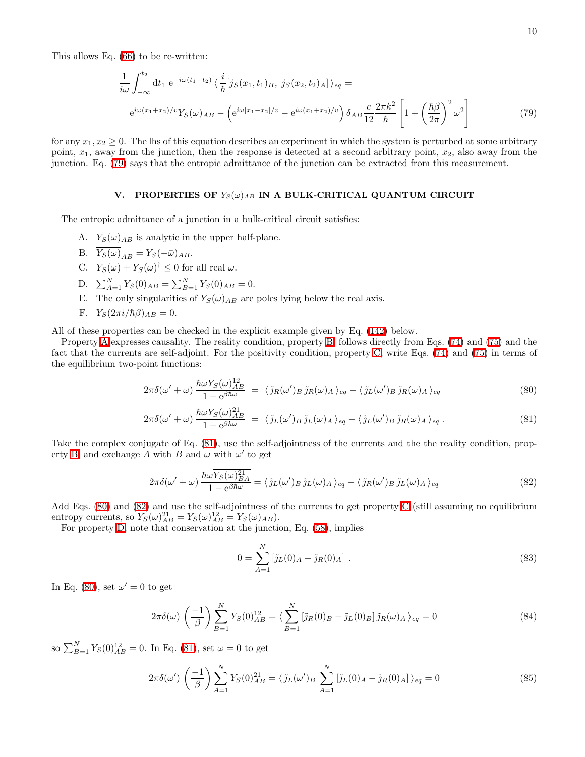<span id="page-9-0"></span>This allows Eq. [\(66\)](#page-7-1) to be re-written:

$$
\frac{1}{i\omega} \int_{-\infty}^{t_2} dt_1 e^{-i\omega(t_1 - t_2)} \langle \frac{i}{\hbar} [j_S(x_1, t_1)_B, j_S(x_2, t_2)_A] \rangle_{eq} =
$$
\n
$$
e^{i\omega(x_1 + x_2)/v} Y_S(\omega)_{AB} - \left( e^{i\omega|x_1 - x_2|/v} - e^{i\omega(x_1 + x_2)/v} \right) \delta_{AB} \frac{c}{12} \frac{2\pi k^2}{\hbar} \left[ 1 + \left( \frac{\hbar \beta}{2\pi} \right)^2 \omega^2 \right] \tag{79}
$$

for any  $x_1, x_2 \geq 0$ . The lhs of this equation describes an experiment in which the system is perturbed at some arbitrary point,  $x_1$ , away from the junction, then the response is detected at a second arbitrary point,  $x_2$ , also away from the junction. Eq. [\(79\)](#page-9-0) says that the entropic admittance of the junction can be extracted from this measurement.

# V. PROPERTIES OF  $Y_S(\omega)_{AB}$  IN A BULK-CRITICAL QUANTUM CIRCUIT

<span id="page-9-3"></span><span id="page-9-2"></span><span id="page-9-1"></span>The entropic admittance of a junction in a bulk-critical circuit satisfies:

- A.  $Y_S(\omega)_{AB}$  is analytic in the upper half-plane.
- B.  $\overline{Y_S(\omega)}_{AB} = Y_S(-\bar{\omega})_{AB}$ .
- C.  $Y_S(\omega) + Y_S(\omega)^\dagger \leq 0$  for all real  $\omega$ .
- D.  $\sum_{A=1}^{N} Y_S(0)_{AB} = \sum_{B=1}^{N} Y_S(0)_{AB} = 0.$
- E. The only singularities of  $Y_S(\omega)_{AB}$  are poles lying below the real axis.
- F.  $Y_S(2\pi i/\hbar\beta)_{AB} = 0.$

<span id="page-9-8"></span><span id="page-9-7"></span><span id="page-9-6"></span>All of these properties can be checked in the explicit example given by Eq. [\(142\)](#page-14-1) below.

<span id="page-9-4"></span>Property [A](#page-9-1) expresses causality. The reality condition, property [B,](#page-9-2) follows directly from Eqs. [\(74\)](#page-8-2) and [\(75\)](#page-8-2) and the fact that the currents are self-adjoint. For the positivity condition, property [C,](#page-9-3) write Eqs. [\(74\)](#page-8-2) and [\(75\)](#page-8-2) in terms of the equilibrium two-point functions:

$$
2\pi\delta(\omega'+\omega)\frac{\hbar\omega Y_S(\omega)_{AB}^{12}}{1-e^{\beta\hbar\omega}} = \langle\tilde{\jmath}_R(\omega')_B\tilde{\jmath}_R(\omega)_A\rangle_{eq} - \langle\tilde{\jmath}_L(\omega')_B\tilde{\jmath}_R(\omega)_A\rangle_{eq} \tag{80}
$$

$$
2\pi\delta(\omega'+\omega)\frac{\hbar\omega Y_S(\omega)_{AB}^{21}}{1-e^{\beta\hbar\omega}} = \langle \tilde{\jmath}_L(\omega')_B \tilde{\jmath}_L(\omega)_A \rangle_{eq} - \langle \tilde{\jmath}_L(\omega')_B \tilde{\jmath}_R(\omega)_A \rangle_{eq}.
$$
 (81)

<span id="page-9-5"></span>Take the complex conjugate of Eq. [\(81\)](#page-9-4), use the self-adjointness of the currents and the the reality condition, prop-erty [B,](#page-9-2) and exchange A with B and  $\omega$  with  $\omega'$  to get

$$
2\pi\delta(\omega' + \omega)\frac{\hbar\omega\overline{Y_S(\omega)^{21}_{BA}}}{1 - e^{\beta\hbar\omega}} = \langle \tilde{\jmath}_L(\omega')_B \tilde{\jmath}_L(\omega)_A \rangle_{eq} - \langle \tilde{\jmath}_R(\omega')_B \tilde{\jmath}_L(\omega)_A \rangle_{eq} \tag{82}
$$

Add Eqs. [\(80\)](#page-9-4) and [\(82\)](#page-9-5) and use the self-adjointness of the currents to get property [C](#page-9-3) (still assuming no equilibrium entropy currents, so  $Y_S(\omega)_{AB}^{21} = Y_S(\omega)_{AB}^{12} = Y_S(\omega)_{AB}$ .

For property [D,](#page-9-6) note that conservation at the junction, Eq. [\(58\)](#page-7-2), implies

$$
0 = \sum_{A=1}^{N} \left[ \tilde{j}_L(0)_A - \tilde{j}_R(0)_A \right] \,. \tag{83}
$$

In Eq. [\(80\)](#page-9-4), set  $\omega' = 0$  to get

$$
2\pi\delta(\omega)\left(\frac{-1}{\beta}\right)\sum_{B=1}^{N}Y_S(0)_{AB}^{12} = \langle \sum_{B=1}^{N} \left[\tilde{\jmath}_R(0)_{B} - \tilde{\jmath}_L(0)_{B}\right]\tilde{\jmath}_R(\omega)_{A}\rangle_{eq} = 0
$$
\n(84)

so  $\sum_{B=1}^{N} Y_S(0)_{AB}^{12} = 0$ . In Eq. [\(81\)](#page-9-4), set  $\omega = 0$  to get

$$
2\pi\delta(\omega')\left(\frac{-1}{\beta}\right)\sum_{A=1}^{N}Y_S(0)_{AB}^{21} = \langle\,\tilde{\jmath}_L(\omega')_B\,\sum_{A=1}^{N}\left[\tilde{\jmath}_L(0)_A - \tilde{\jmath}_R(0)_A\right]\rangle_{eq} = 0\tag{85}
$$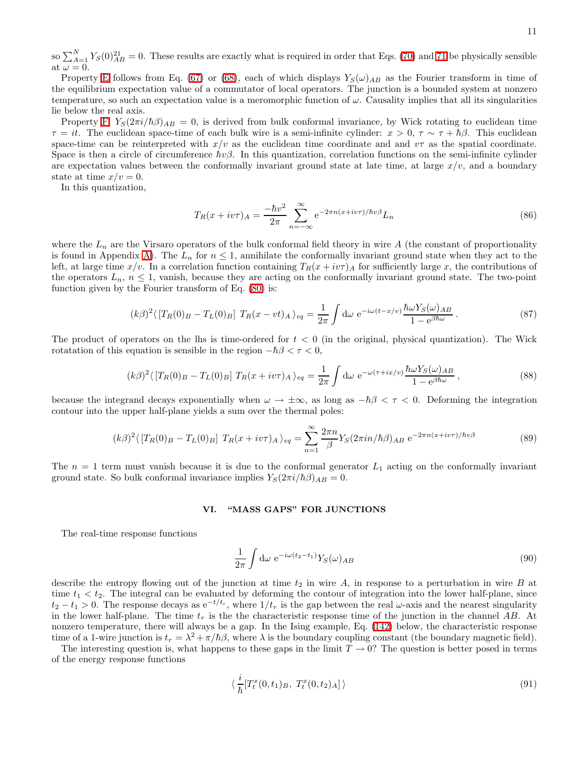so  $\sum_{A=1}^{N} Y_S(0)_{AB}^{21} = 0$ . These results are exactly what is required in order that Eqs. [\(70\)](#page-8-3) and [71](#page-8-4) be physically sensible at  $\omega = 0$ .

Property [E](#page-9-7) follows from Eq. [\(67\)](#page-8-0) or [\(68\)](#page-8-1), each of which displays  $Y_S(\omega)_{AB}$  as the Fourier transform in time of the equilibrium expectation value of a commutator of local operators. The junction is a bounded system at nonzero temperature, so such an expectation value is a meromorphic function of  $\omega$ . Causality implies that all its singularities lie below the real axis.

Property [F,](#page-9-8)  $Y_S(2\pi i/\hbar\beta)_{AB} = 0$ , is derived from bulk conformal invariance, by Wick rotating to euclidean time  $\tau = it$ . The euclidean space-time of each bulk wire is a semi-infinite cylinder:  $x > 0$ ,  $\tau \sim \tau + \hbar \beta$ . This euclidean space-time can be reinterpreted with  $x/v$  as the euclidean time coordinate and and  $v\tau$  as the spatial coordinate. Space is then a circle of circumference  $\hbar v \beta$ . In this quantization, correlation functions on the semi-infinite cylinder are expectation values between the conformally invariant ground state at late time, at large  $x/v$ , and a boundary state at time  $x/v = 0$ .

In this quantization,

$$
T_R(x + iv\tau)_A = \frac{-\hbar v^2}{2\pi} \sum_{n = -\infty}^{\infty} e^{-2\pi n(x + iv\tau)/\hbar v \beta} L_n
$$
\n(86)

where the  $L_n$  are the Virsaro operators of the bulk conformal field theory in wire A (the constant of proportionality is found in Appendix [A\)](#page-14-0). The  $L_n$  for  $n \leq 1$ , annihilate the conformally invariant ground state when they act to the left, at large time  $x/v$ . In a correlation function containing  $T_R(x+iv\tau)_A$  for sufficiently large x, the contributions of the operators  $L_n$ ,  $n \leq 1$ , vanish, because they are acting on the conformally invariant ground state. The two-point function given by the Fourier transform of Eq. [\(80\)](#page-9-4) is:

$$
(k\beta)^2 \langle \left[T_R(0)_B - T_L(0)_B\right] T_R(x - vt)_A \rangle_{eq} = \frac{1}{2\pi} \int d\omega \ e^{-i\omega(t - x/v)} \frac{\hbar \omega Y_S(\omega)_{AB}}{1 - e^{\beta \hbar \omega}}.
$$
 (87)

The product of operators on the lhs is time-ordered for  $t < 0$  (in the original, physical quantization). The Wick rotatation of this equation is sensible in the region  $-\hbar\beta < \tau < 0$ ,

$$
(k\beta)^2 \langle \left[T_R(0)_B - T_L(0)_B\right] T_R(x + i v \tau)_A \rangle_{eq} = \frac{1}{2\pi} \int d\omega \ e^{-\omega(\tau + i x/v)} \frac{\hbar \omega Y_S(\omega)_{AB}}{1 - e^{\beta \hbar \omega}}, \tag{88}
$$

because the integrand decays exponentially when  $\omega \to \pm \infty$ , as long as  $-\hbar\beta < \tau < 0$ . Deforming the integration contour into the upper half-plane yields a sum over the thermal poles:

$$
(k\beta)^2 \langle \left[T_R(0)_B - T_L(0)_B\right] T_R(x + i v \tau)_A \rangle_{eq} = \sum_{n=1}^{\infty} \frac{2\pi n}{\beta} Y_S(2\pi i n/\hbar \beta)_{AB} e^{-2\pi n(x + i v \tau)/\hbar v \beta}
$$
(89)

The  $n = 1$  term must vanish because it is due to the conformal generator  $L_1$  acting on the conformally invariant ground state. So bulk conformal invariance implies  $Y_S(2\pi i/\hbar\beta)_{AB} = 0$ .

#### VI. "MASS GAPS" FOR JUNCTIONS

The real-time response functions

$$
\frac{1}{2\pi} \int \mathrm{d}\omega \ e^{-i\omega(t_2 - t_1)} Y_S(\omega)_{AB} \tag{90}
$$

describe the entropy flowing out of the junction at time  $t_2$  in wire A, in response to a perturbation in wire B at time  $t_1 < t_2$ . The integral can be evaluated by deforming the contour of integration into the lower half-plane, since  $t_2 - t_1 > 0$ . The response decays as  $e^{-t/t_r}$ , where  $1/t_r$  is the gap between the real  $\omega$ -axis and the nearest singularity in the lower half-plane. The time  $t_r$  is the the characteristic response time of the junction in the channel AB. At nonzero temperature, there will always be a gap. In the Ising example, Eq. [\(142\)](#page-14-1) below, the characteristic response time of a 1-wire junction is  $t_r = \lambda^2 + \pi/\hbar \beta$ , where  $\lambda$  is the boundary coupling constant (the boundary magnetic field).

The interesting question is, what happens to these gaps in the limit  $T \to 0$ ? The question is better posed in terms of the energy response functions

$$
\langle \frac{i}{\hbar} [T_t^x(0, t_1)_B, T_t^x(0, t_2)_A] \rangle \tag{91}
$$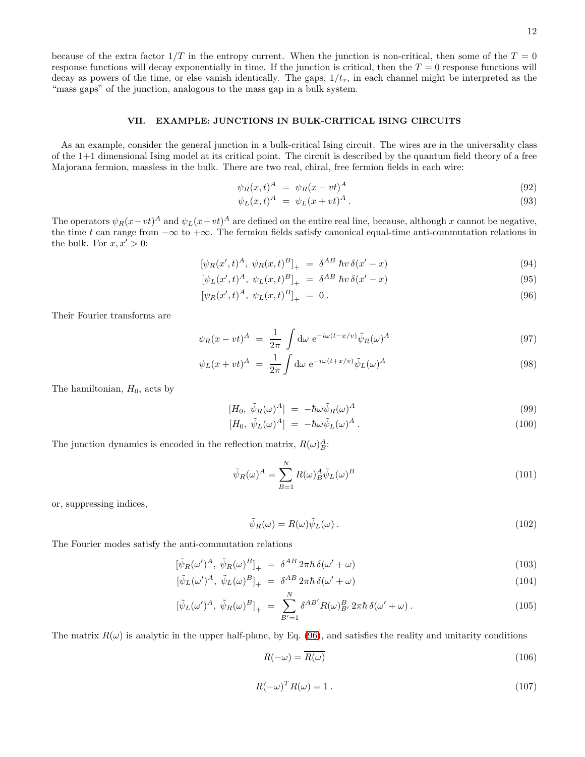because of the extra factor  $1/T$  in the entropy current. When the junction is non-critical, then some of the  $T = 0$ response functions will decay exponentially in time. If the junction is critical, then the  $T = 0$  response functions will decay as powers of the time, or else vanish identically. The gaps,  $1/t_r$ , in each channel might be interpreted as the "mass gaps" of the junction, analogous to the mass gap in a bulk system.

## VII. EXAMPLE: JUNCTIONS IN BULK-CRITICAL ISING CIRCUITS

As an example, consider the general junction in a bulk-critical Ising circuit. The wires are in the universality class of the 1+1 dimensional Ising model at its critical point. The circuit is described by the quantum field theory of a free Majorana fermion, massless in the bulk. There are two real, chiral, free fermion fields in each wire:

$$
\psi_R(x,t)^A = \psi_R(x-vt)^A \tag{92}
$$

$$
\psi_L(x,t)^A = \psi_L(x+vt)^A.
$$
\n(93)

The operators  $\psi_R(x-vt)^A$  and  $\psi_L(x+vt)^A$  are defined on the entire real line, because, although x cannot be negative, the time t can range from  $-\infty$  to  $+\infty$ . The fermion fields satisfy canonical equal-time anti-commutation relations in the bulk. For  $x, x' > 0$ :

<span id="page-11-0"></span>
$$
[\psi_R(x',t)^A, \ \psi_R(x,t)^B]_+ \ = \ \delta^{AB} \ \hbar v \, \delta(x'-x) \tag{94}
$$

$$
[\psi_L(x',t)^A, \ \psi_L(x,t)^B]_+ \ = \ \delta^{AB} \ \hbar v \, \delta(x'-x) \tag{95}
$$

$$
[\psi_R(x',t)^A, \ \psi_L(x,t)^B]_+ = 0. \tag{96}
$$

Their Fourier transforms are

$$
\psi_R(x - vt)^A = \frac{1}{2\pi} \int d\omega \ e^{-i\omega(t - x/v)} \tilde{\psi}_R(\omega)^A \tag{97}
$$

$$
\psi_L(x+vt)^A = \frac{1}{2\pi} \int d\omega \ e^{-i\omega(t+x/\nu)} \tilde{\psi}_L(\omega)^A \tag{98}
$$

The hamiltonian,  $H_0$ , acts by

$$
[H_0, \ \tilde{\psi}_R(\omega)^A] = -\hbar\omega\tilde{\psi}_R(\omega)^A \tag{99}
$$

$$
[H_0, \tilde{\psi}_L(\omega)^A] = -\hbar\omega\tilde{\psi}_L(\omega)^A.
$$
\n(100)

The junction dynamics is encoded in the reflection matrix,  $R(\omega)_{B}^{A}$ :

$$
\tilde{\psi}_R(\omega)^A = \sum_{B=1}^N R(\omega)_B^A \tilde{\psi}_L(\omega)^B
$$
\n(101)

or, suppressing indices,

$$
\tilde{\psi}_R(\omega) = R(\omega)\tilde{\psi}_L(\omega). \tag{102}
$$

<span id="page-11-1"></span>The Fourier modes satisfy the anti-commutation relations

$$
[\tilde{\psi}_R(\omega')^A, \tilde{\psi}_R(\omega)^B]_+ = \delta^{AB} 2\pi \hbar \delta(\omega' + \omega)
$$
\n(103)

$$
[\tilde{\psi}_L(\omega')^A, \tilde{\psi}_L(\omega)^B]_+ = \delta^{AB} 2\pi \hbar \delta(\omega' + \omega)
$$
\n(104)

$$
[\tilde{\psi}_L(\omega')^A, \ \tilde{\psi}_R(\omega)^B]_+ \ = \ \sum_{B'=1}^N \delta^{AB'} R(\omega)_{B'}^B \, 2\pi \hbar \, \delta(\omega' + \omega) \,. \tag{105}
$$

The matrix  $R(\omega)$  is analytic in the upper half-plane, by Eq. [\(96\)](#page-11-0), and satisfies the reality and unitarity conditions

$$
R(-\omega) = \overline{R(\omega)}\tag{106}
$$

$$
R(-\omega)^T R(\omega) = 1.
$$
\n(107)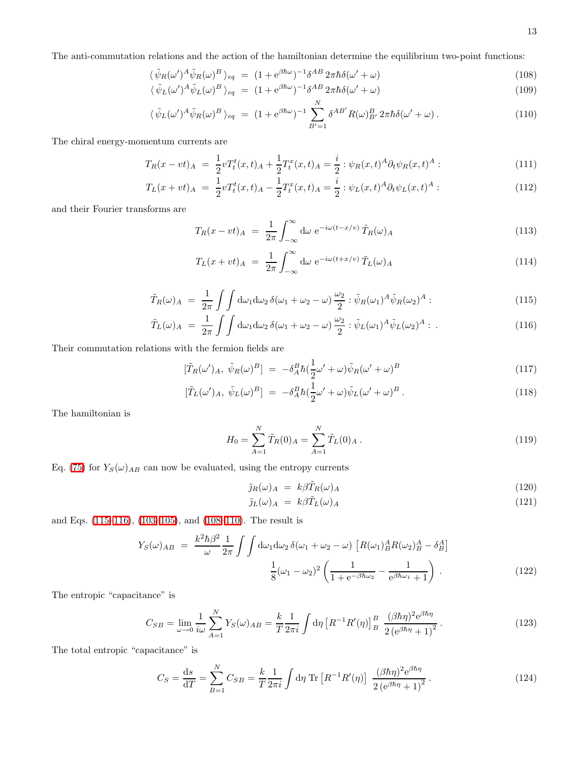<span id="page-12-1"></span>The anti-commutation relations and the action of the hamiltonian determine the equilibrium two-point functions:

$$
\langle \tilde{\psi}_R(\omega')^A \tilde{\psi}_R(\omega)^B \rangle_{eq} = (1 + e^{\beta \hbar \omega})^{-1} \delta^{AB} 2\pi \hbar \delta(\omega' + \omega)
$$
\n(108)

$$
\langle \tilde{\psi}_L(\omega')^A \tilde{\psi}_L(\omega)^B \rangle_{eq} = (1 + e^{\beta \hbar \omega})^{-1} \delta^{AB} 2\pi \hbar \delta(\omega' + \omega)
$$
\n(109)

$$
\langle \tilde{\psi}_L(\omega')^A \tilde{\psi}_R(\omega)^B \rangle_{eq} = (1 + e^{\beta \hbar \omega})^{-1} \sum_{B'=1}^N \delta^{AB'} R(\omega)_{B'}^B 2\pi \hbar \delta(\omega' + \omega) . \tag{110}
$$

The chiral energy-momentum currents are

$$
T_R(x - vt)_A = \frac{1}{2} v T_t^t(x, t)_A + \frac{1}{2} T_t^x(x, t)_A = \frac{i}{2} : \psi_R(x, t)^A \partial_t \psi_R(x, t)^A : \tag{111}
$$

$$
T_L(x + vt)_{A} = \frac{1}{2} v T_t^t(x, t)_{A} - \frac{1}{2} T_t^x(x, t)_{A} = \frac{i}{2} : \psi_L(x, t)^A \partial_t \psi_L(x, t)^A : \qquad (112)
$$

and their Fourier transforms are

$$
T_R(x - vt)_A = \frac{1}{2\pi} \int_{-\infty}^{\infty} d\omega \ e^{-i\omega(t - x/v)} \tilde{T}_R(\omega)_A
$$
\n(113)

$$
T_L(x + vt)_A = \frac{1}{2\pi} \int_{-\infty}^{\infty} d\omega \ e^{-i\omega(t + x/v)} \tilde{T}_L(\omega)_A
$$
\n(114)

$$
\tilde{T}_R(\omega)_A = \frac{1}{2\pi} \int \int d\omega_1 d\omega_2 \, \delta(\omega_1 + \omega_2 - \omega) \frac{\omega_2}{2} : \tilde{\psi}_R(\omega_1)^A \tilde{\psi}_R(\omega_2)^A : \tag{115}
$$

$$
\tilde{T}_L(\omega)_A = \frac{1}{2\pi} \int \int d\omega_1 d\omega_2 \, \delta(\omega_1 + \omega_2 - \omega) \frac{\omega_2}{2} : \tilde{\psi}_L(\omega_1)^A \tilde{\psi}_L(\omega_2)^A : . \tag{116}
$$

<span id="page-12-0"></span>Their commutation relations with the fermion fields are

$$
[\tilde{T}_R(\omega')_A, \ \tilde{\psi}_R(\omega)^B] = -\delta_A^B \hbar (\frac{1}{2}\omega' + \omega) \tilde{\psi}_R(\omega' + \omega)^B
$$
\n(117)

$$
[\tilde{T}_L(\omega')_A, \tilde{\psi}_L(\omega)^B] = -\delta_A^B \hbar (\frac{1}{2}\omega' + \omega) \tilde{\psi}_L(\omega' + \omega)^B.
$$
\n(118)

The hamiltonian is

$$
H_0 = \sum_{A=1}^{N} \tilde{T}_R(0)_A = \sum_{A=1}^{N} \tilde{T}_L(0)_A.
$$
 (119)

Eq. [\(75\)](#page-8-2) for  $Y_S(\omega)_{AB}$  can now be evaluated, using the entropy currents

$$
\tilde{j}_R(\omega)_A = k\beta \tilde{T}_R(\omega)_A \tag{120}
$$

$$
\tilde{j}_L(\omega)_A = k\beta \tilde{T}_L(\omega)_A \tag{121}
$$

<span id="page-12-3"></span>and Eqs. [\(115–116\)](#page-12-0), [\(103–105\)](#page-11-1), and [\(108–110\)](#page-12-1). The result is

$$
Y_S(\omega)_{AB} = \frac{k^2 \hbar \beta^2}{\omega} \frac{1}{2\pi} \int \int d\omega_1 d\omega_2 \, \delta(\omega_1 + \omega_2 - \omega) \left[ R(\omega_1)_B^A R(\omega_2)_B^A - \delta_B^A \right] \n\frac{1}{8} (\omega_1 - \omega_2)^2 \left( \frac{1}{1 + e^{-\beta \hbar \omega_2}} - \frac{1}{e^{\beta \hbar \omega_1} + 1} \right).
$$
\n(122)

<span id="page-12-2"></span>The entropic "capacitance" is

$$
C_{SB} = \lim_{\omega \to 0} \frac{1}{i\omega} \sum_{A=1}^{N} Y_S(\omega)_{AB} = \frac{k}{T} \frac{1}{2\pi i} \int d\eta \left[ R^{-1} R'(\eta) \right]_{B}^{B} \frac{(\beta \hbar \eta)^2 e^{\beta \hbar \eta}}{2 \left( e^{\beta \hbar \eta} + 1 \right)^2} \,. \tag{123}
$$

The total entropic "capacitance" is

$$
C_S = \frac{ds}{dT} = \sum_{B=1}^{N} C_{SB} = \frac{k}{T} \frac{1}{2\pi i} \int d\eta \, \text{Tr} \left[ R^{-1} R'(\eta) \right] \, \frac{(\beta \hbar \eta)^2 e^{\beta \hbar \eta}}{2 \left( e^{\beta \hbar \eta} + 1 \right)^2} \,. \tag{124}
$$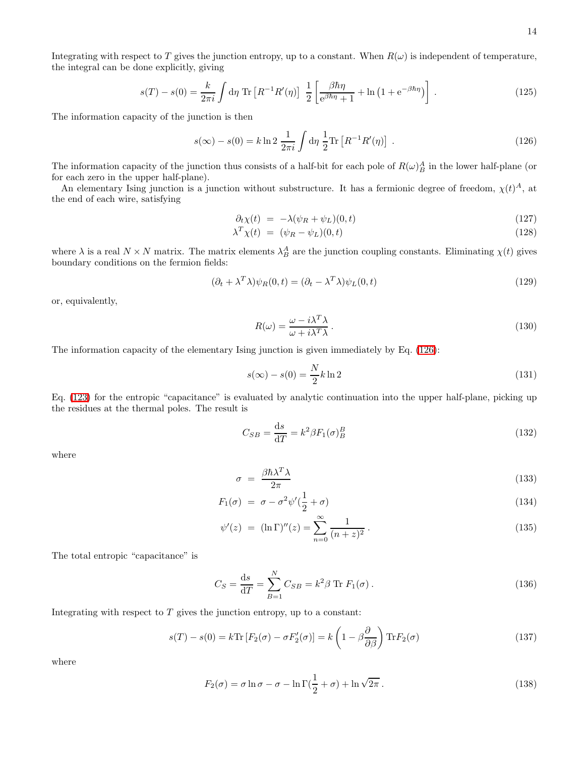Integrating with respect to T gives the junction entropy, up to a constant. When  $R(\omega)$  is independent of temperature, the integral can be done explicitly, giving

<span id="page-13-0"></span>
$$
s(T) - s(0) = \frac{k}{2\pi i} \int d\eta \operatorname{Tr} \left[ R^{-1} R'(\eta) \right] \frac{1}{2} \left[ \frac{\beta \hbar \eta}{e^{\beta \hbar \eta} + 1} + \ln \left( 1 + e^{-\beta \hbar \eta} \right) \right] \,. \tag{125}
$$

The information capacity of the junction is then

$$
s(\infty) - s(0) = k \ln 2 \frac{1}{2\pi i} \int d\eta \frac{1}{2} \text{Tr} \left[ R^{-1} R'(\eta) \right] . \tag{126}
$$

The information capacity of the junction thus consists of a half-bit for each pole of  $R(\omega)_B^A$  in the lower half-plane (or for each zero in the upper half-plane).

An elementary Ising junction is a junction without substructure. It has a fermionic degree of freedom,  $\chi(t)^A$ , at the end of each wire, satisfying

$$
\partial_t \chi(t) = -\lambda(\psi_R + \psi_L)(0, t) \tag{127}
$$

$$
\lambda^T \chi(t) = (\psi_R - \psi_L)(0, t) \tag{128}
$$

where  $\lambda$  is a real  $N \times N$  matrix. The matrix elements  $\lambda_B^A$  are the junction coupling constants. Eliminating  $\chi(t)$  gives boundary conditions on the fermion fields:

<span id="page-13-1"></span>
$$
(\partial_t + \lambda^T \lambda) \psi_R(0, t) = (\partial_t - \lambda^T \lambda) \psi_L(0, t)
$$
\n(129)

or, equivalently,

$$
R(\omega) = \frac{\omega - i\lambda^T \lambda}{\omega + i\lambda^T \lambda}.
$$
\n(130)

The information capacity of the elementary Ising junction is given immediately by Eq. [\(126\)](#page-13-0):

$$
s(\infty) - s(0) = \frac{N}{2}k \ln 2 \tag{131}
$$

Eq. [\(123\)](#page-12-2) for the entropic "capacitance" is evaluated by analytic continuation into the upper half-plane, picking up the residues at the thermal poles. The result is

$$
C_{SB} = \frac{\mathrm{d}s}{\mathrm{d}T} = k^2 \beta F_1(\sigma)_B^B \tag{132}
$$

where

$$
\sigma = \frac{\beta \hbar \lambda^T \lambda}{2\pi} \tag{133}
$$

$$
F_1(\sigma) = \sigma - \sigma^2 \psi'(\frac{1}{2} + \sigma) \tag{134}
$$

$$
\psi'(z) = (\ln \Gamma)''(z) = \sum_{n=0}^{\infty} \frac{1}{(n+z)^2}.
$$
\n(135)

The total entropic "capacitance" is

$$
C_S = \frac{ds}{dT} = \sum_{B=1}^{N} C_{SB} = k^2 \beta \text{ Tr } F_1(\sigma).
$$
 (136)

Integrating with respect to  $T$  gives the junction entropy, up to a constant:

$$
s(T) - s(0) = k \text{Tr} \left[ F_2(\sigma) - \sigma F_2'(\sigma) \right] = k \left( 1 - \beta \frac{\partial}{\partial \beta} \right) \text{Tr} F_2(\sigma)
$$
\n(137)

where

$$
F_2(\sigma) = \sigma \ln \sigma - \sigma - \ln \Gamma(\frac{1}{2} + \sigma) + \ln \sqrt{2\pi} . \tag{138}
$$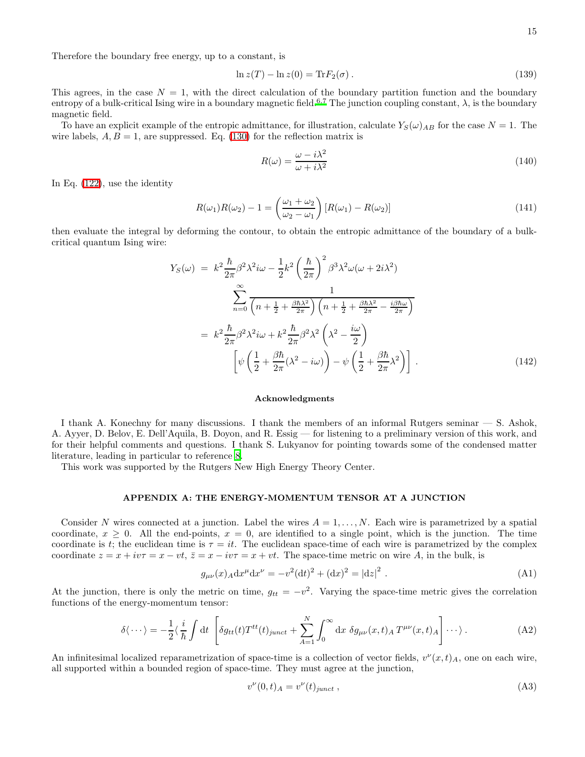Therefore the boundary free energy, up to a constant, is

$$
\ln z(T) - \ln z(0) = \text{Tr} F_2(\sigma). \tag{139}
$$

This agrees, in the case  $N = 1$ , with the direct calculation of the boundary partition function and the boundary entropy of a bulk-critical Ising wire in a boundary magnetic field.<sup>[6](#page-18-6)[,7](#page-18-7)</sup> The junction coupling constant,  $\lambda$ , is the boundary magnetic field.

To have an explicit example of the entropic admittance, for illustration, calculate  $Y_S(\omega)_{AB}$  for the case  $N = 1$ . The wire labels,  $A, B = 1$ , are suppressed. Eq. [\(130\)](#page-13-1) for the reflection matrix is

$$
R(\omega) = \frac{\omega - i\lambda^2}{\omega + i\lambda^2} \tag{140}
$$

In Eq. [\(122\)](#page-12-3), use the identity

$$
R(\omega_1)R(\omega_2) - 1 = \left(\frac{\omega_1 + \omega_2}{\omega_2 - \omega_1}\right)[R(\omega_1) - R(\omega_2)]\tag{141}
$$

<span id="page-14-1"></span>then evaluate the integral by deforming the contour, to obtain the entropic admittance of the boundary of a bulkcritical quantum Ising wire:

$$
Y_S(\omega) = k^2 \frac{\hbar}{2\pi} \beta^2 \lambda^2 i\omega - \frac{1}{2} k^2 \left(\frac{\hbar}{2\pi}\right)^2 \beta^3 \lambda^2 \omega (\omega + 2i\lambda^2)
$$

$$
\sum_{n=0}^{\infty} \frac{1}{\left(n + \frac{1}{2} + \frac{\beta \hbar \lambda^2}{2\pi}\right) \left(n + \frac{1}{2} + \frac{\beta \hbar \lambda^2}{2\pi} - \frac{i\beta \hbar \omega}{2\pi}\right)}
$$

$$
= k^2 \frac{\hbar}{2\pi} \beta^2 \lambda^2 i\omega + k^2 \frac{\hbar}{2\pi} \beta^2 \lambda^2 \left(\lambda^2 - \frac{i\omega}{2}\right)
$$

$$
\left[\psi \left(\frac{1}{2} + \frac{\beta \hbar}{2\pi} (\lambda^2 - i\omega)\right) - \psi \left(\frac{1}{2} + \frac{\beta \hbar}{2\pi} \lambda^2\right)\right].
$$
 (142)

## Acknowledgments

I thank A. Konechny for many discussions. I thank the members of an informal Rutgers seminar — S. Ashok, A. Ayyer, D. Belov, E. Dell'Aquila, B. Doyon, and R. Essig — for listening to a preliminary version of this work, and for their helpful comments and questions. I thank S. Lukyanov for pointing towards some of the condensed matter literature, leading in particular to reference [8.](#page-18-8)

<span id="page-14-0"></span>This work was supported by the Rutgers New High Energy Theory Center.

# APPENDIX A: THE ENERGY-MOMENTUM TENSOR AT A JUNCTION

Consider N wires connected at a junction. Label the wires  $A = 1, \ldots, N$ . Each wire is parametrized by a spatial coordinate,  $x \geq 0$ . All the end-points,  $x = 0$ , are identified to a single point, which is the junction. The time coordinate is t; the euclidean time is  $\tau = it$ . The euclidean space-time of each wire is parametrized by the complex coordinate  $z = x + i v \tau = x - v t$ ,  $\bar{z} = x - i v \tau = x + v t$ . The space-time metric on wire A, in the bulk, is

$$
g_{\mu\nu}(x)_A dx^{\mu} dx^{\nu} = -v^2 (dt)^2 + (dx)^2 = |dz|^2.
$$
 (A1)

At the junction, there is only the metric on time,  $g_{tt} = -v^2$ . Varying the space-time metric gives the correlation functions of the energy-momentum tensor:

$$
\delta \langle \cdots \rangle = -\frac{1}{2} \langle \frac{i}{\hbar} \int dt \left[ \delta g_{tt}(t) T^{tt}(t)_{junct} + \sum_{A=1}^{N} \int_0^{\infty} dx \ \delta g_{\mu\nu}(x, t)_{A} T^{\mu\nu}(x, t)_{A} \right] \cdots \rangle.
$$
 (A2)

An infinitesimal localized reparametrization of space-time is a collection of vector fields,  $v^{\nu}(x,t)_{A}$ , one on each wire, all supported within a bounded region of space-time. They must agree at the junction,

$$
v^{\nu}(0,t)_{A} = v^{\nu}(t)_{junct} , \qquad (A3)
$$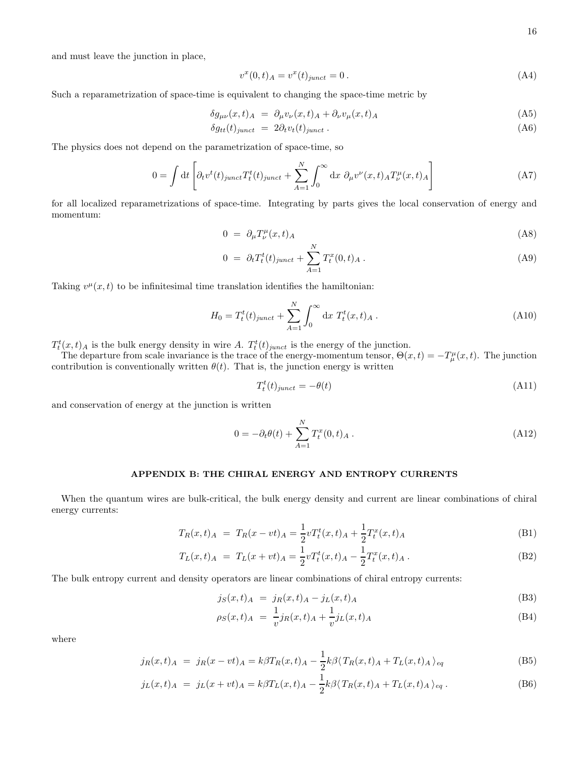and must leave the junction in place,

$$
v^{x}(0,t)_{A} = v^{x}(t)_{junct} = 0.
$$
\n(A4)

Such a reparametrization of space-time is equivalent to changing the space-time metric by

$$
\delta g_{\mu\nu}(x,t)_A = \partial_\mu v_\nu(x,t)_A + \partial_\nu v_\mu(x,t)_A \tag{A5}
$$

$$
\delta g_{tt}(t)_{junct} = 2\partial_t v_t(t)_{junct} \,. \tag{A6}
$$

The physics does not depend on the parametrization of space-time, so

$$
0 = \int dt \left[ \partial_t v^t(t)_{junct} T_t^t(t)_{junct} + \sum_{A=1}^N \int_0^\infty dx \ \partial_\mu v^\nu(x, t)_{A} T_\nu^\mu(x, t)_{A} \right]
$$
(A7)

for all localized reparametrizations of space-time. Integrating by parts gives the local conservation of energy and momentum:

$$
0 = \partial_{\mu} T^{\mu}_{\nu}(x, t)_{A} \tag{A8}
$$

$$
0 = \partial_t T_t^t(t)_{junct} + \sum_{A=1}^N T_t^x(0, t)_A . \tag{A9}
$$

Taking  $v^{\mu}(x,t)$  to be infinitesimal time translation identifies the hamiltonian:

$$
H_0 = T_t^t(t)_{junct} + \sum_{A=1}^N \int_0^\infty dx \ T_t^t(x, t)_A . \tag{A10}
$$

 $T_t^t(x,t)$  is the bulk energy density in wire A.  $T_t^t(t)_{junct}$  is the energy of the junction.

The departure from scale invariance is the trace of the energy-momentum tensor,  $\Theta(x,t) = -T^{\mu}_{\mu}(x,t)$ . The junction contribution is conventionally written  $\theta(t)$ . That is, the junction energy is written

$$
T_t^t(t)_{junct} = -\theta(t) \tag{A11}
$$

and conservation of energy at the junction is written

$$
0 = -\partial_t \theta(t) + \sum_{A=1}^{N} T_t^x(0, t)_A . \tag{A12}
$$

## APPENDIX B: THE CHIRAL ENERGY AND ENTROPY CURRENTS

<span id="page-15-0"></span>When the quantum wires are bulk-critical, the bulk energy density and current are linear combinations of chiral energy currents:

$$
T_R(x,t)_A = T_R(x - vt)_A = \frac{1}{2} v T_t^t(x,t)_A + \frac{1}{2} T_t^x(x,t)_A
$$
\n(B1)

$$
T_L(x,t)_A = T_L(x+vt)_A = \frac{1}{2} v T_t^t(x,t)_A - \frac{1}{2} T_t^x(x,t)_A.
$$
 (B2)

The bulk entropy current and density operators are linear combinations of chiral entropy currents:

$$
j_S(x,t)_A = j_R(x,t)_A - j_L(x,t)_A
$$
 (B3)

$$
\rho_S(x,t)_A = \frac{1}{v} j_R(x,t)_A + \frac{1}{v} j_L(x,t)_A \tag{B4}
$$

<span id="page-15-1"></span>where

$$
j_R(x,t)_A = j_R(x - vt)_A = k\beta T_R(x,t)_A - \frac{1}{2}k\beta \langle T_R(x,t)_A + T_L(x,t)_A \rangle_{eq}
$$
(B5)

$$
j_L(x,t)_A = j_L(x+vt)_A = k\beta T_L(x,t)_A - \frac{1}{2}k\beta \langle T_R(x,t)_A + T_L(x,t)_A \rangle_{eq}.
$$
 (B6)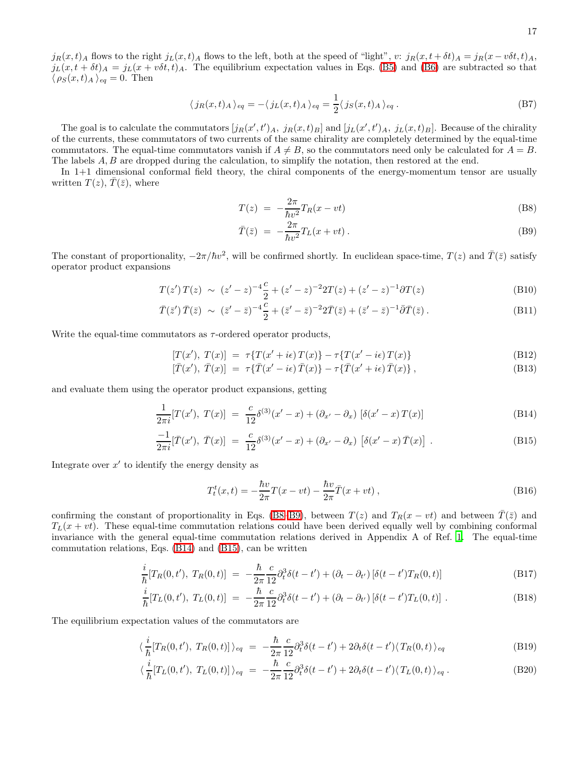$j_R(x, t)$  flows to the right  $j_L(x, t)$  flows to the left, both at the speed of "light", v:  $j_R(x, t + \delta t)$   $\neq j_R(x - v \delta t, t)$   $\neq$  $j_L(x, t + \delta t)_A = j_L(x + v\delta t, t)_A$ . The equilibrium expectation values in Eqs. [\(B5\)](#page-15-1) and [\(B6\)](#page-15-1) are subtracted so that  $\langle \rho_S(x, t)_A \rangle_{eq} = 0$ . Then

$$
\langle j_R(x,t)_A \rangle_{eq} = -\langle j_L(x,t)_A \rangle_{eq} = \frac{1}{2} \langle j_S(x,t)_A \rangle_{eq} . \tag{B7}
$$

The goal is to calculate the commutators  $[j_R(x',t')_A, j_R(x,t)_B]$  and  $[j_L(x',t')_A, j_L(x,t)_B]$ . Because of the chirality of the currents, these commutators of two currents of the same chirality are completely determined by the equal-time commutators. The equal-time commutators vanish if  $A \neq B$ , so the commutators need only be calculated for  $A = B$ . The labels A, B are dropped during the calculation, to simplify the notation, then restored at the end.

In 1+1 dimensional conformal field theory, the chiral components of the energy-momentum tensor are usually written  $T(z)$ ,  $\overline{T}(\overline{z})$ , where

<span id="page-16-1"></span>
$$
T(z) = -\frac{2\pi}{\hbar v^2} T_R(x - vt) \tag{B8}
$$

$$
\bar{T}(\bar{z}) = -\frac{2\pi}{\hbar v^2} T_L(x + vt) \,. \tag{B9}
$$

The constant of proportionality,  $-2\pi/\hbar v^2$ , will be confirmed shortly. In euclidean space-time,  $T(z)$  and  $\bar{T}(\bar{z})$  satisfy operator product expansions

$$
T(z')T(z) \sim (z'-z)^{-4}\frac{c}{2} + (z'-z)^{-2}2T(z) + (z'-z)^{-1}\partial T(z)
$$
 (B10)

$$
\bar{T}(\bar{z}')\,\bar{T}(\bar{z}) \sim (\bar{z}'-\bar{z})^{-4}\frac{c}{2} + (\bar{z}'-\bar{z})^{-2}2\bar{T}(\bar{z}) + (\bar{z}'-\bar{z})^{-1}\bar{\partial}\bar{T}(\bar{z})\,. \tag{B11}
$$

Write the equal-time commutators as  $\tau$ -ordered operator products,

$$
[T(x'), T(x)] = \tau \{ T(x'+i\epsilon) T(x) \} - \tau \{ T(x'-i\epsilon) T(x) \}
$$
(B12)

$$
[\bar{T}(x'), \ \bar{T}(x)] = \tau \{ \bar{T}(x'-i\epsilon) \bar{T}(x) \} - \tau \{ \bar{T}(x'+i\epsilon) \bar{T}(x) \}, \tag{B13}
$$

<span id="page-16-2"></span>and evaluate them using the operator product expansions, getting

$$
\frac{1}{2\pi i}[T(x'), T(x)] = \frac{c}{12}\delta^{(3)}(x'-x) + (\partial_{x'} - \partial_x) [\delta(x'-x)T(x)] \tag{B14}
$$

$$
\frac{-1}{2\pi i} [\bar{T}(x'), \ \bar{T}(x)] = \frac{c}{12} \delta^{(3)}(x'-x) + (\partial_{x'} - \partial_x) [\delta(x'-x) \bar{T}(x)]. \tag{B15}
$$

Integrate over  $x'$  to identify the energy density as

$$
T_t^t(x,t) = -\frac{\hbar v}{2\pi}T(x - vt) - \frac{\hbar v}{2\pi}\bar{T}(x + vt),
$$
\n(B16)

confirming the constant of proportionality in Eqs. [\(B8–B9\)](#page-16-1), between  $T(z)$  and  $T_R(x - vt)$  and between  $\overline{T}(\overline{z})$  and  $T<sub>L</sub>(x + vt)$ . These equal-time commutation relations could have been derived equally well by combining conformal invariance with the general equal-time commutation relations derived in Appendix A of Ref. [1](#page-18-1). The equal-time commutation relations, Eqs. [\(B14\)](#page-16-2) and [\(B15\)](#page-16-2), can be written

$$
\frac{i}{\hbar}[T_R(0,t'), T_R(0,t)] = -\frac{\hbar}{2\pi} \frac{c}{12} \partial_t^3 \delta(t-t') + (\partial_t - \partial_{t'}) [\delta(t-t')T_R(0,t)] \tag{B17}
$$

$$
\frac{i}{\hbar}[T_L(0,t'), T_L(0,t)] = -\frac{\hbar}{2\pi} \frac{c}{12} \partial_t^3 \delta(t-t') + (\partial_t - \partial_{t'}) [\delta(t-t')T_L(0,t)] .
$$
\n(B18)

<span id="page-16-0"></span>The equilibrium expectation values of the commutators are

$$
\langle \frac{i}{\hbar} [T_R(0, t'), T_R(0, t)] \rangle_{eq} = -\frac{\hbar}{2\pi} \frac{c}{12} \partial_t^3 \delta(t - t') + 2\partial_t \delta(t - t') \langle T_R(0, t) \rangle_{eq} \tag{B19}
$$

$$
\langle \frac{i}{\hbar} [T_L(0, t'), T_L(0, t)] \rangle_{eq} = -\frac{\hbar}{2\pi} \frac{c}{12} \partial_t^3 \delta(t - t') + 2\partial_t \delta(t - t') \langle T_L(0, t) \rangle_{eq} . \tag{B20}
$$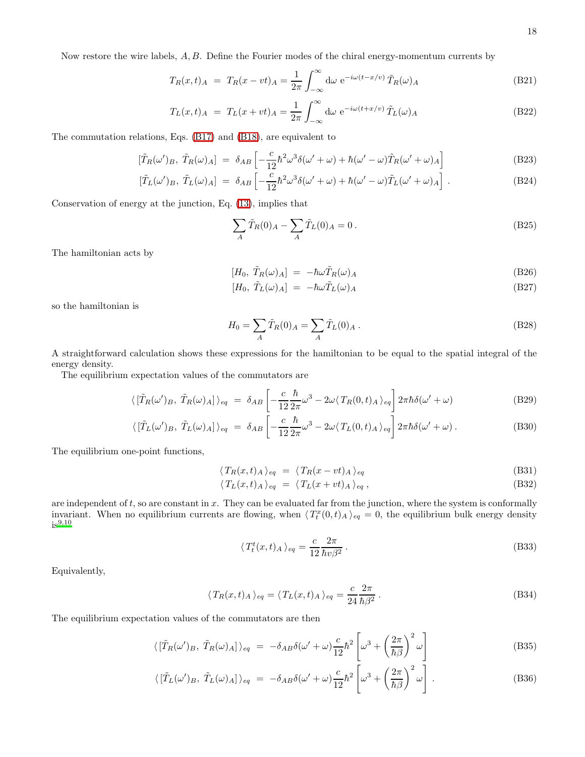Now restore the wire labels, A, B. Define the Fourier modes of the chiral energy-momentum currents by

$$
T_R(x,t)_A = T_R(x - vt)_A = \frac{1}{2\pi} \int_{-\infty}^{\infty} d\omega \ e^{-i\omega(t - x/v)} \tilde{T}_R(\omega)_A
$$
(B21)

$$
T_L(x,t)_A = T_L(x+vt)_A = \frac{1}{2\pi} \int_{-\infty}^{\infty} d\omega \ e^{-i\omega(t+x/v)} \tilde{T}_L(\omega)_A
$$
 (B22)

The commutation relations, Eqs. [\(B17\)](#page-16-0) and [\(B18\)](#page-16-0), are equivalent to

$$
[\tilde{T}_R(\omega')_B, \tilde{T}_R(\omega)_A] = \delta_{AB} \left[ -\frac{c}{12} \hbar^2 \omega^3 \delta(\omega' + \omega) + \hbar(\omega' - \omega) \tilde{T}_R(\omega' + \omega)_A \right]
$$
(B23)

$$
[\tilde{T}_L(\omega')_B, \tilde{T}_L(\omega)_A] = \delta_{AB} \left[ -\frac{c}{12} \hbar^2 \omega^3 \delta(\omega' + \omega) + \hbar(\omega' - \omega) \tilde{T}_L(\omega' + \omega)_A \right]. \tag{B24}
$$

Conservation of energy at the junction, Eq. [\(13\)](#page-2-4), implies that

$$
\sum_{A} \tilde{T}_{R}(0)_{A} - \sum_{A} \tilde{T}_{L}(0)_{A} = 0.
$$
 (B25)

The hamiltonian acts by

$$
[H_0, \tilde{T}_R(\omega)_A] = -\hbar\omega \tilde{T}_R(\omega)_A \tag{B26}
$$

$$
[H_0, \tilde{T}_L(\omega)_A] = -\hbar\omega \tilde{T}_L(\omega)_A \tag{B27}
$$

so the hamiltonian is

$$
H_0 = \sum_A \tilde{T}_R(0)_A = \sum_A \tilde{T}_L(0)_A . \tag{B28}
$$

A straightforward calculation shows these expressions for the hamiltonian to be equal to the spatial integral of the energy density.

The equilibrium expectation values of the commutators are

$$
\langle \left[ \tilde{T}_R(\omega')_B, \tilde{T}_R(\omega)_A \right] \rangle_{eq} = \delta_{AB} \left[ -\frac{c}{12} \frac{\hbar}{2\pi} \omega^3 - 2\omega \langle T_R(0, t)_A \rangle_{eq} \right] 2\pi \hbar \delta(\omega' + \omega) \tag{B29}
$$

$$
\langle \left[ \tilde{T}_L(\omega')_B, \tilde{T}_L(\omega)_A \right] \rangle_{eq} = \delta_{AB} \left[ -\frac{c}{12} \frac{\hbar}{2\pi} \omega^3 - 2\omega \langle T_L(0, t)_A \rangle_{eq} \right] 2\pi \hbar \delta(\omega' + \omega) . \tag{B30}
$$

The equilibrium one-point functions,

$$
\langle T_R(x,t)_A \rangle_{eq} = \langle T_R(x-vt)_A \rangle_{eq} \tag{B31}
$$

$$
\langle T_L(x,t)_A \rangle_{eq} = \langle T_L(x+vt)_A \rangle_{eq}, \qquad (B32)
$$

are independent of  $t$ , so are constant in  $x$ . They can be evaluated far from the junction, where the system is conformally invariant. When no equilibrium currents are flowing, when  $\langle T_t^x(0,t)_A \rangle_{eq} = 0$ , the equilibrium bulk energy density  $is<sup>9,10</sup>$  $is<sup>9,10</sup>$  $is<sup>9,10</sup>$  $is<sup>9,10</sup>$ 

$$
\langle T_t^t(x,t)_A \rangle_{eq} = \frac{c}{12} \frac{2\pi}{\hbar v \beta^2} \,. \tag{B33}
$$

Equivalently,

$$
\langle T_R(x,t)_A \rangle_{eq} = \langle T_L(x,t)_A \rangle_{eq} = \frac{c}{24} \frac{2\pi}{\hbar \beta^2} \,. \tag{B34}
$$

<span id="page-17-0"></span>The equilibrium expectation values of the commutators are then

$$
\langle \left[ \tilde{T}_R(\omega')_B, \tilde{T}_R(\omega)_A \right] \rangle_{eq} = -\delta_{AB}\delta(\omega' + \omega)\frac{c}{12}\hbar^2 \left[ \omega^3 + \left( \frac{2\pi}{\hbar \beta} \right)^2 \omega \right]
$$
(B35)

$$
\langle \left[ \tilde{T}_L(\omega')_B, \tilde{T}_L(\omega)_A \right] \rangle_{eq} = -\delta_{AB} \delta(\omega' + \omega) \frac{c}{12} \hbar^2 \left[ \omega^3 + \left( \frac{2\pi}{\hbar \beta} \right)^2 \omega \right]. \tag{B36}
$$